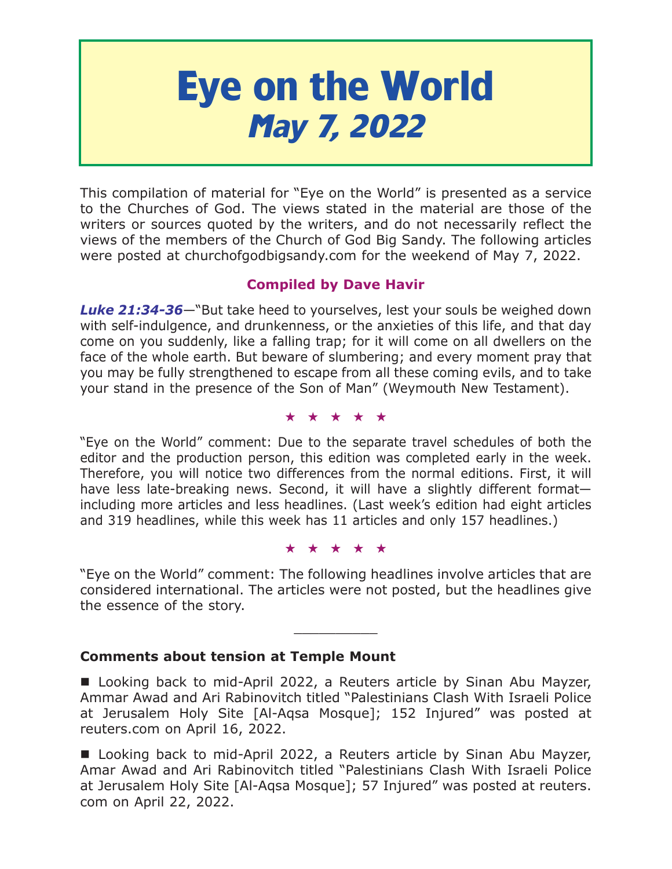# **Eye on the World May 7, 2022**

This compilation of material for "Eye on the World" is presented as a service to the Churches of God. The views stated in the material are those of the writers or sources quoted by the writers, and do not necessarily reflect the views of the members of the Church of God Big Sandy. The following articles were posted at churchofgodbigsandy.com for the weekend of May 7, 2022.

# **Compiled by Dave Havir**

*Luke 21:34-36*—"But take heed to yourselves, lest your souls be weighed down with self-indulgence, and drunkenness, or the anxieties of this life, and that day come on you suddenly, like a falling trap; for it will come on all dwellers on the face of the whole earth. But beware of slumbering; and every moment pray that you may be fully strengthened to escape from all these coming evils, and to take your stand in the presence of the Son of Man" (Weymouth New Testament).

★★★★★

"Eye on the World" comment: Due to the separate travel schedules of both the editor and the production person, this edition was completed early in the week. Therefore, you will notice two differences from the normal editions. First, it will have less late-breaking news. Second, it will have a slightly different format including more articles and less headlines. (Last week's edition had eight articles and 319 headlines, while this week has 11 articles and only 157 headlines.)

★★★★★

"Eye on the World" comment: The following headlines involve articles that are considered international. The articles were not posted, but the headlines give the essence of the story.

 $\overline{\phantom{a}}$  , where  $\overline{\phantom{a}}$ 

# **Comments about tension at Temple Mount**

■ Looking back to mid-April 2022, a Reuters article by Sinan Abu Mayzer, Ammar Awad and Ari Rabinovitch titled "Palestinians Clash With Israeli Police at Jerusalem Holy Site [Al-Aqsa Mosque]; 152 Injured" was posted at reuters.com on April 16, 2022.

■ Looking back to mid-April 2022, a Reuters article by Sinan Abu Mayzer, Amar Awad and Ari Rabinovitch titled "Palestinians Clash With Israeli Police at Jerusalem Holy Site [Al-Aqsa Mosque]; 57 Injured" was posted at reuters. com on April 22, 2022.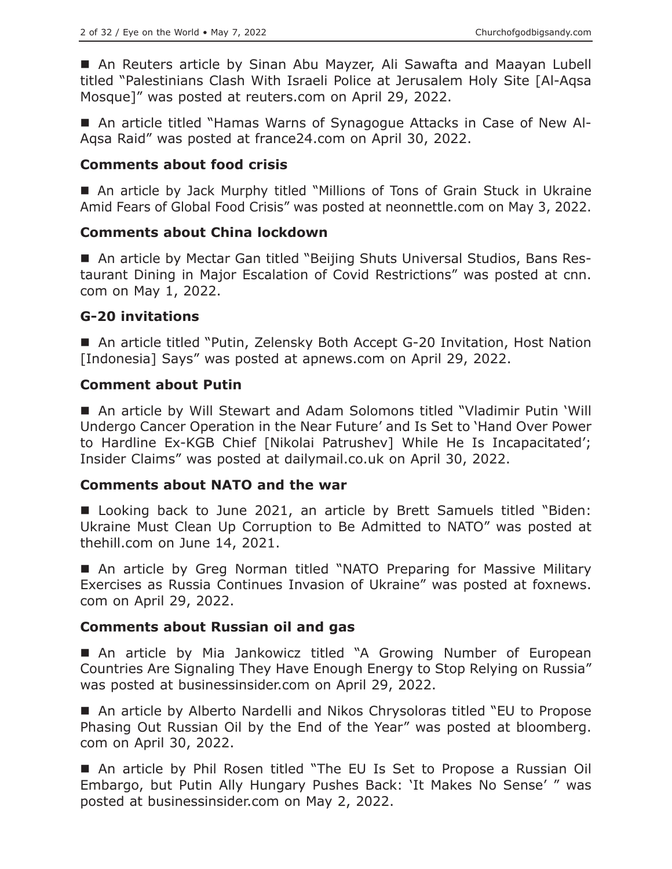An Reuters article by Sinan Abu Mayzer, Ali Sawafta and Maayan Lubell titled "Palestinians Clash With Israeli Police at Jerusalem Holy Site [Al-Aqsa Mosque]" was posted at reuters.com on April 29, 2022.

 An article titled "Hamas Warns of Synagogue Attacks in Case of New Al-Aqsa Raid" was posted at france24.com on April 30, 2022.

## **Comments about food crisis**

 An article by Jack Murphy titled "Millions of Tons of Grain Stuck in Ukraine Amid Fears of Global Food Crisis" was posted at neonnettle.com on May 3, 2022.

#### **Comments about China lockdown**

■ An article by Mectar Gan titled "Beijing Shuts Universal Studios, Bans Restaurant Dining in Major Escalation of Covid Restrictions" was posted at cnn. com on May 1, 2022.

## **G-20 invitations**

■ An article titled "Putin, Zelensky Both Accept G-20 Invitation, Host Nation [Indonesia] Says" was posted at apnews.com on April 29, 2022.

## **Comment about Putin**

■ An article by Will Stewart and Adam Solomons titled "Vladimir Putin 'Will Undergo Cancer Operation in the Near Future' and Is Set to 'Hand Over Power to Hardline Ex-KGB Chief [Nikolai Patrushev] While He Is Incapacitated'; Insider Claims" was posted at dailymail.co.uk on April 30, 2022.

#### **Comments about NATO and the war**

■ Looking back to June 2021, an article by Brett Samuels titled "Biden: Ukraine Must Clean Up Corruption to Be Admitted to NATO" was posted at thehill.com on June 14, 2021.

■ An article by Greg Norman titled "NATO Preparing for Massive Military Exercises as Russia Continues Invasion of Ukraine" was posted at foxnews. com on April 29, 2022.

#### **Comments about Russian oil and gas**

■ An article by Mia Jankowicz titled "A Growing Number of European Countries Are Signaling They Have Enough Energy to Stop Relying on Russia" was posted at businessinsider.com on April 29, 2022.

 An article by Alberto Nardelli and Nikos Chrysoloras titled "EU to Propose Phasing Out Russian Oil by the End of the Year" was posted at bloomberg. com on April 30, 2022.

 An article by Phil Rosen titled "The EU Is Set to Propose a Russian Oil Embargo, but Putin Ally Hungary Pushes Back: 'It Makes No Sense' " was posted at businessinsider.com on May 2, 2022.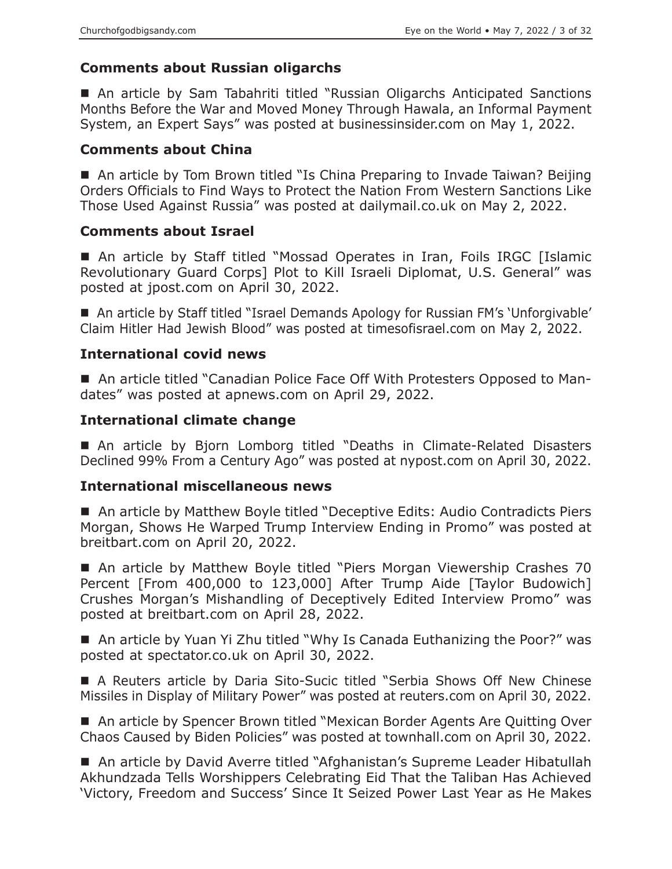# **Comments about Russian oligarchs**

■ An article by Sam Tabahriti titled "Russian Oligarchs Anticipated Sanctions Months Before the War and Moved Money Through Hawala, an Informal Payment System, an Expert Says" was posted at businessinsider.com on May 1, 2022.

## **Comments about China**

■ An article by Tom Brown titled "Is China Preparing to Invade Taiwan? Beijing Orders Officials to Find Ways to Protect the Nation From Western Sanctions Like Those Used Against Russia" was posted at dailymail.co.uk on May 2, 2022.

## **Comments about Israel**

■ An article by Staff titled "Mossad Operates in Iran, Foils IRGC [Islamic Revolutionary Guard Corps] Plot to Kill Israeli Diplomat, U.S. General" was posted at jpost.com on April 30, 2022.

■ An article by Staff titled "Israel Demands Apology for Russian FM's 'Unforgivable' Claim Hitler Had Jewish Blood" was posted at timesofisrael.com on May 2, 2022.

## **International covid news**

■ An article titled "Canadian Police Face Off With Protesters Opposed to Mandates" was posted at apnews.com on April 29, 2022.

## **International climate change**

 An article by Bjorn Lomborg titled "Deaths in Climate-Related Disasters Declined 99% From a Century Ago" was posted at nypost.com on April 30, 2022.

#### **International miscellaneous news**

■ An article by Matthew Boyle titled "Deceptive Edits: Audio Contradicts Piers Morgan, Shows He Warped Trump Interview Ending in Promo" was posted at breitbart.com on April 20, 2022.

■ An article by Matthew Boyle titled "Piers Morgan Viewership Crashes 70 Percent [From 400,000 to 123,000] After Trump Aide [Taylor Budowich] Crushes Morgan's Mishandling of Deceptively Edited Interview Promo" was posted at breitbart.com on April 28, 2022.

■ An article by Yuan Yi Zhu titled "Why Is Canada Euthanizing the Poor?" was posted at spectator.co.uk on April 30, 2022.

 A Reuters article by Daria Sito-Sucic titled "Serbia Shows Off New Chinese Missiles in Display of Military Power" was posted at reuters.com on April 30, 2022.

■ An article by Spencer Brown titled "Mexican Border Agents Are Ouitting Over Chaos Caused by Biden Policies" was posted at townhall.com on April 30, 2022.

■ An article by David Averre titled "Afghanistan's Supreme Leader Hibatullah Akhundzada Tells Worshippers Celebrating Eid That the Taliban Has Achieved 'Victory, Freedom and Success' Since It Seized Power Last Year as He Makes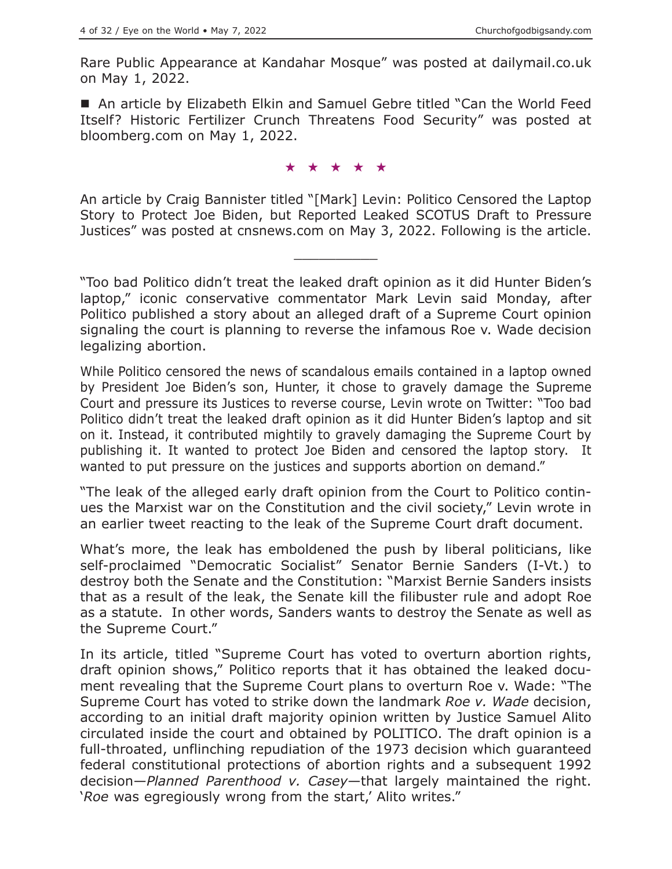Rare Public Appearance at Kandahar Mosque" was posted at dailymail.co.uk on May 1, 2022.

■ An article by Elizabeth Elkin and Samuel Gebre titled "Can the World Feed Itself? Historic Fertilizer Crunch Threatens Food Security" was posted at bloomberg.com on May 1, 2022.

#### ★★★★★

An article by Craig Bannister titled "[Mark] Levin: Politico Censored the Laptop Story to Protect Joe Biden, but Reported Leaked SCOTUS Draft to Pressure Justices" was posted at cnsnews.com on May 3, 2022. Following is the article.

\_\_\_\_\_\_\_\_\_\_

"Too bad Politico didn't treat the leaked draft opinion as it did Hunter Biden's laptop," iconic conservative commentator Mark Levin said Monday, after Politico published a story about an alleged draft of a Supreme Court opinion signaling the court is planning to reverse the infamous Roe v. Wade decision legalizing abortion.

While Politico censored the news of scandalous emails contained in a laptop owned by President Joe Biden's son, Hunter, it chose to gravely damage the Supreme Court and pressure its Justices to reverse course, Levin wrote on Twitter: "Too bad Politico didn't treat the leaked draft opinion as it did Hunter Biden's laptop and sit on it. Instead, it contributed mightily to gravely damaging the Supreme Court by publishing it. It wanted to protect Joe Biden and censored the laptop story. It wanted to put pressure on the justices and supports abortion on demand."

"The leak of the alleged early draft opinion from the Court to Politico continues the Marxist war on the Constitution and the civil society," Levin wrote in an earlier tweet reacting to the leak of the Supreme Court draft document.

What's more, the leak has emboldened the push by liberal politicians, like self-proclaimed "Democratic Socialist" Senator Bernie Sanders (I-Vt.) to destroy both the Senate and the Constitution: "Marxist Bernie Sanders insists that as a result of the leak, the Senate kill the filibuster rule and adopt Roe as a statute. In other words, Sanders wants to destroy the Senate as well as the Supreme Court."

In its article, titled "Supreme Court has voted to overturn abortion rights, draft opinion shows," Politico reports that it has obtained the leaked document revealing that the Supreme Court plans to overturn Roe v. Wade: "The Supreme Court has voted to strike down the landmark *Roe v. Wade* decision, according to an initial draft majority opinion written by Justice Samuel Alito circulated inside the court and obtained by POLITICO. The draft opinion is a full-throated, unflinching repudiation of the 1973 decision which guaranteed federal constitutional protections of abortion rights and a subsequent 1992 decision—*Planned Parenthood v. Casey*—that largely maintained the right. '*Roe* was egregiously wrong from the start,' Alito writes."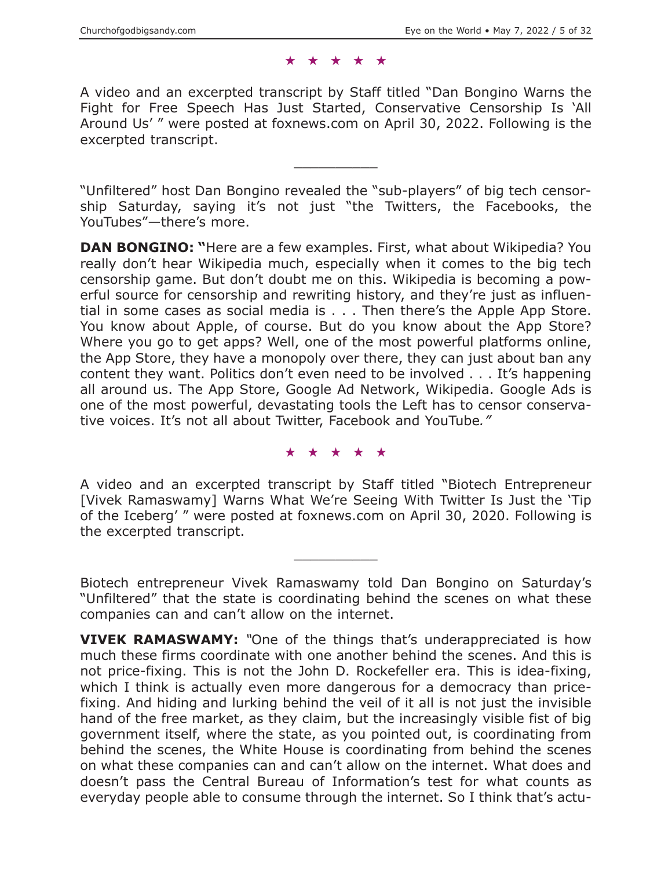#### ★★★★★

A video and an excerpted transcript by Staff titled "Dan Bongino Warns the Fight for Free Speech Has Just Started, Conservative Censorship Is 'All Around Us' " were posted at foxnews.com on April 30, 2022. Following is the excerpted transcript.

"Unfiltered" host Dan Bongino revealed the "sub-players" of big tech censorship Saturday, saying it's not just "the Twitters, the Facebooks, the YouTubes"—there's more.

 $\overline{\phantom{a}}$  , where  $\overline{\phantom{a}}$ 

**DAN BONGINO: "**Here are a few examples. First, what about Wikipedia? You really don't hear Wikipedia much, especially when it comes to the big tech censorship game. But don't doubt me on this. Wikipedia is becoming a powerful source for censorship and rewriting history, and they're just as influential in some cases as social media is . . . Then there's the Apple App Store. You know about Apple, of course. But do you know about the App Store? Where you go to get apps? Well, one of the most powerful platforms online, the App Store, they have a monopoly over there, they can just about ban any content they want. Politics don't even need to be involved . . . It's happening all around us. The App Store, Google Ad Network, Wikipedia. Google Ads is one of the most powerful, devastating tools the Left has to censor conservative voices. It's not all about Twitter, Facebook and YouTube*."*

#### ★★★★★

A video and an excerpted transcript by Staff titled "Biotech Entrepreneur [Vivek Ramaswamy] Warns What We're Seeing With Twitter Is Just the 'Tip of the Iceberg' " were posted at foxnews.com on April 30, 2020. Following is the excerpted transcript.

Biotech entrepreneur Vivek Ramaswamy told Dan Bongino on Saturday's "Unfiltered" that the state is coordinating behind the scenes on what these companies can and can't allow on the internet.

 $\overline{\phantom{a}}$  , where  $\overline{\phantom{a}}$ 

**VIVEK RAMASWAMY:** *"*One of the things that's underappreciated is how much these firms coordinate with one another behind the scenes. And this is not price-fixing. This is not the John D. Rockefeller era. This is idea-fixing, which I think is actually even more dangerous for a democracy than pricefixing. And hiding and lurking behind the veil of it all is not just the invisible hand of the free market, as they claim, but the increasingly visible fist of big government itself, where the state, as you pointed out, is coordinating from behind the scenes, the White House is coordinating from behind the scenes on what these companies can and can't allow on the internet. What does and doesn't pass the Central Bureau of Information's test for what counts as everyday people able to consume through the internet. So I think that's actu-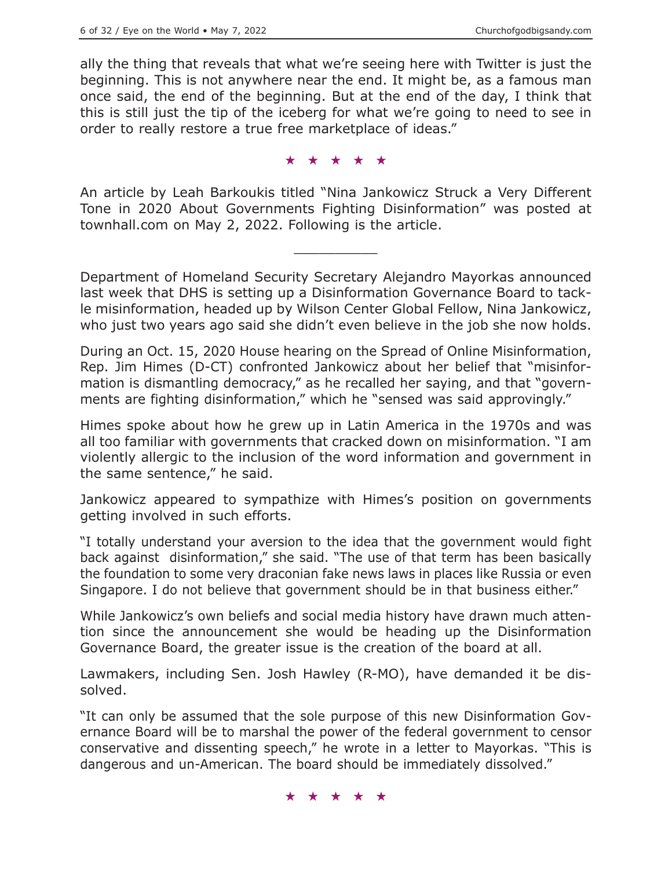ally the thing that reveals that what we're seeing here with Twitter is just the beginning. This is not anywhere near the end. It might be, as a famous man once said, the end of the beginning. But at the end of the day, I think that this is still just the tip of the iceberg for what we're going to need to see in order to really restore a true free marketplace of ideas."

★★★★★

An article by Leah Barkoukis titled "Nina Jankowicz Struck a Very Different Tone in 2020 About Governments Fighting Disinformation" was posted at townhall.com on May 2, 2022. Following is the article.

 $\overline{\phantom{a}}$  , where  $\overline{\phantom{a}}$ 

Department of Homeland Security Secretary Alejandro Mayorkas announced last week that DHS is setting up a Disinformation Governance Board to tackle misinformation, headed up by Wilson Center Global Fellow, Nina Jankowicz, who just two years ago said she didn't even believe in the job she now holds.

During an Oct. 15, 2020 House hearing on the Spread of Online Misinformation, Rep. Jim Himes (D-CT) confronted Jankowicz about her belief that "misinformation is dismantling democracy," as he recalled her saying, and that "governments are fighting disinformation," which he "sensed was said approvingly."

Himes spoke about how he grew up in Latin America in the 1970s and was all too familiar with governments that cracked down on misinformation. "I am violently allergic to the inclusion of the word information and government in the same sentence," he said.

Jankowicz appeared to sympathize with Himes's position on governments getting involved in such efforts.

"I totally understand your aversion to the idea that the government would fight back against disinformation," she said. "The use of that term has been basically the foundation to some very draconian fake news laws in places like Russia or even Singapore. I do not believe that government should be in that business either."

While Jankowicz's own beliefs and social media history have drawn much attention since the announcement she would be heading up the Disinformation Governance Board, the greater issue is the creation of the board at all.

Lawmakers, including Sen. Josh Hawley (R-MO), have demanded it be dissolved.

"It can only be assumed that the sole purpose of this new Disinformation Governance Board will be to marshal the power of the federal government to censor conservative and dissenting speech," he wrote in a letter to Mayorkas. "This is dangerous and un-American. The board should be immediately dissolved."

★★★★★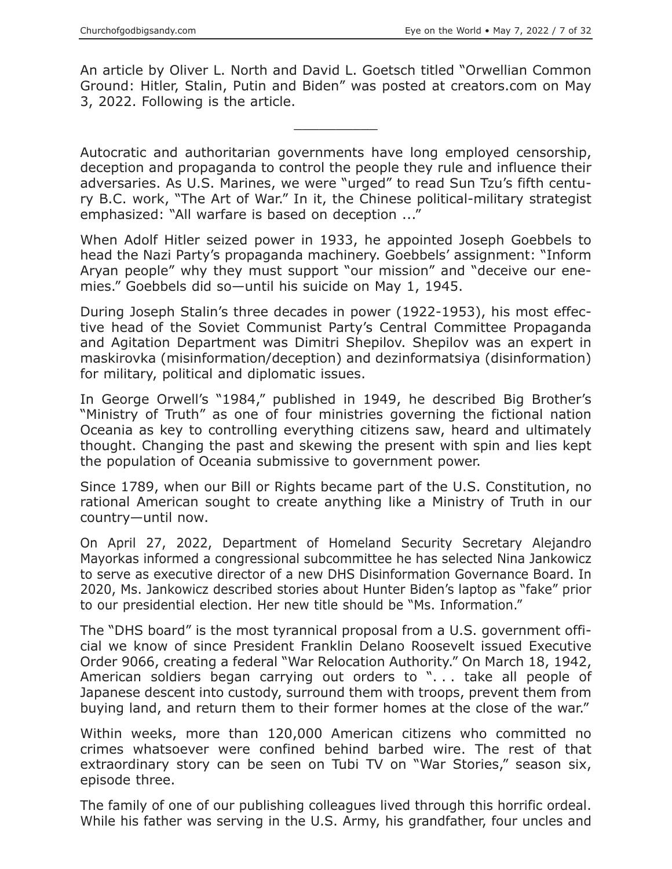An article by Oliver L. North and David L. Goetsch titled "Orwellian Common Ground: Hitler, Stalin, Putin and Biden" was posted at creators.com on May 3, 2022. Following is the article.

 $\overline{\phantom{a}}$  , where  $\overline{\phantom{a}}$ 

Autocratic and authoritarian governments have long employed censorship, deception and propaganda to control the people they rule and influence their adversaries. As U.S. Marines, we were "urged" to read Sun Tzu's fifth century B.C. work, "The Art of War." In it, the Chinese political-military strategist emphasized: "All warfare is based on deception ..."

When Adolf Hitler seized power in 1933, he appointed Joseph Goebbels to head the Nazi Party's propaganda machinery. Goebbels' assignment: "Inform Aryan people" why they must support "our mission" and "deceive our enemies." Goebbels did so—until his suicide on May 1, 1945.

During Joseph Stalin's three decades in power (1922-1953), his most effective head of the Soviet Communist Party's Central Committee Propaganda and Agitation Department was Dimitri Shepilov. Shepilov was an expert in maskirovka (misinformation/deception) and dezinformatsiya (disinformation) for military, political and diplomatic issues.

In George Orwell's "1984," published in 1949, he described Big Brother's "Ministry of Truth" as one of four ministries governing the fictional nation Oceania as key to controlling everything citizens saw, heard and ultimately thought. Changing the past and skewing the present with spin and lies kept the population of Oceania submissive to government power.

Since 1789, when our Bill or Rights became part of the U.S. Constitution, no rational American sought to create anything like a Ministry of Truth in our country—until now.

On April 27, 2022, Department of Homeland Security Secretary Alejandro Mayorkas informed a congressional subcommittee he has selected Nina Jankowicz to serve as executive director of a new DHS Disinformation Governance Board. In 2020, Ms. Jankowicz described stories about Hunter Biden's laptop as "fake" prior to our presidential election. Her new title should be "Ms. Information."

The "DHS board" is the most tyrannical proposal from a U.S. government official we know of since President Franklin Delano Roosevelt issued Executive Order 9066, creating a federal "War Relocation Authority." On March 18, 1942, American soldiers began carrying out orders to ". . . take all people of Japanese descent into custody, surround them with troops, prevent them from buying land, and return them to their former homes at the close of the war."

Within weeks, more than 120,000 American citizens who committed no crimes whatsoever were confined behind barbed wire. The rest of that extraordinary story can be seen on Tubi TV on "War Stories," season six, episode three.

The family of one of our publishing colleagues lived through this horrific ordeal. While his father was serving in the U.S. Army, his grandfather, four uncles and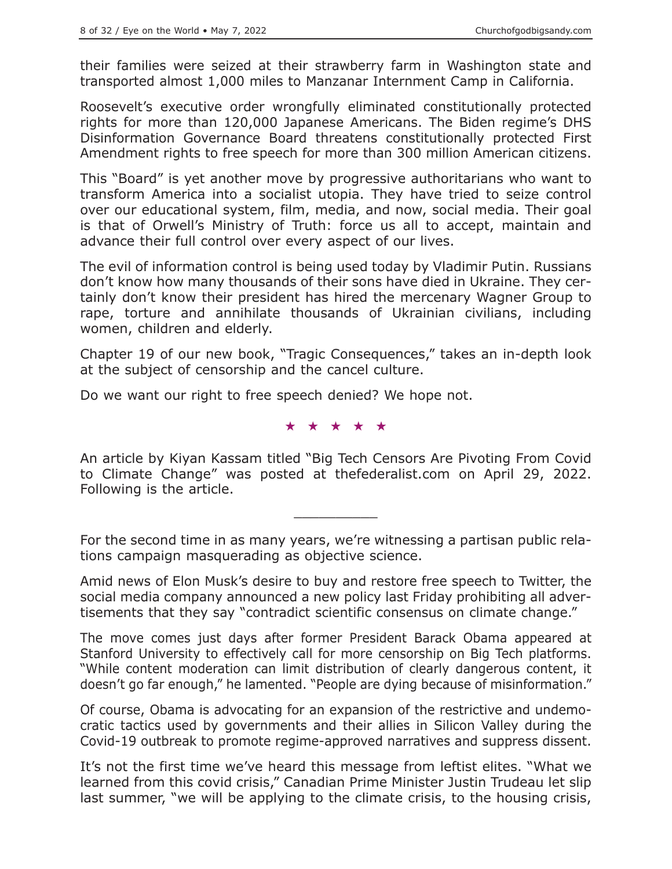their families were seized at their strawberry farm in Washington state and transported almost 1,000 miles to Manzanar Internment Camp in California.

Roosevelt's executive order wrongfully eliminated constitutionally protected rights for more than 120,000 Japanese Americans. The Biden regime's DHS Disinformation Governance Board threatens constitutionally protected First Amendment rights to free speech for more than 300 million American citizens.

This "Board" is yet another move by progressive authoritarians who want to transform America into a socialist utopia. They have tried to seize control over our educational system, film, media, and now, social media. Their goal is that of Orwell's Ministry of Truth: force us all to accept, maintain and advance their full control over every aspect of our lives.

The evil of information control is being used today by Vladimir Putin. Russians don't know how many thousands of their sons have died in Ukraine. They certainly don't know their president has hired the mercenary Wagner Group to rape, torture and annihilate thousands of Ukrainian civilians, including women, children and elderly.

Chapter 19 of our new book, "Tragic Consequences," takes an in-depth look at the subject of censorship and the cancel culture.

Do we want our right to free speech denied? We hope not.

★★★★★

An article by Kiyan Kassam titled "Big Tech Censors Are Pivoting From Covid to Climate Change" was posted at thefederalist.com on April 29, 2022. Following is the article.

For the second time in as many years, we're witnessing a partisan public relations campaign masquerading as objective science.

 $\overline{\phantom{a}}$  , where  $\overline{\phantom{a}}$ 

Amid news of Elon Musk's desire to buy and restore free speech to Twitter, the social media company announced a new policy last Friday prohibiting all advertisements that they say "contradict scientific consensus on climate change."

The move comes just days after former President Barack Obama appeared at Stanford University to effectively call for more censorship on Big Tech platforms. "While content moderation can limit distribution of clearly dangerous content, it doesn't go far enough," he lamented. "People are dying because of misinformation."

Of course, Obama is advocating for an expansion of the restrictive and undemocratic tactics used by governments and their allies in Silicon Valley during the Covid-19 outbreak to promote regime-approved narratives and suppress dissent.

It's not the first time we've heard this message from leftist elites. "What we learned from this covid crisis," Canadian Prime Minister Justin Trudeau let slip last summer, "we will be applying to the climate crisis, to the housing crisis,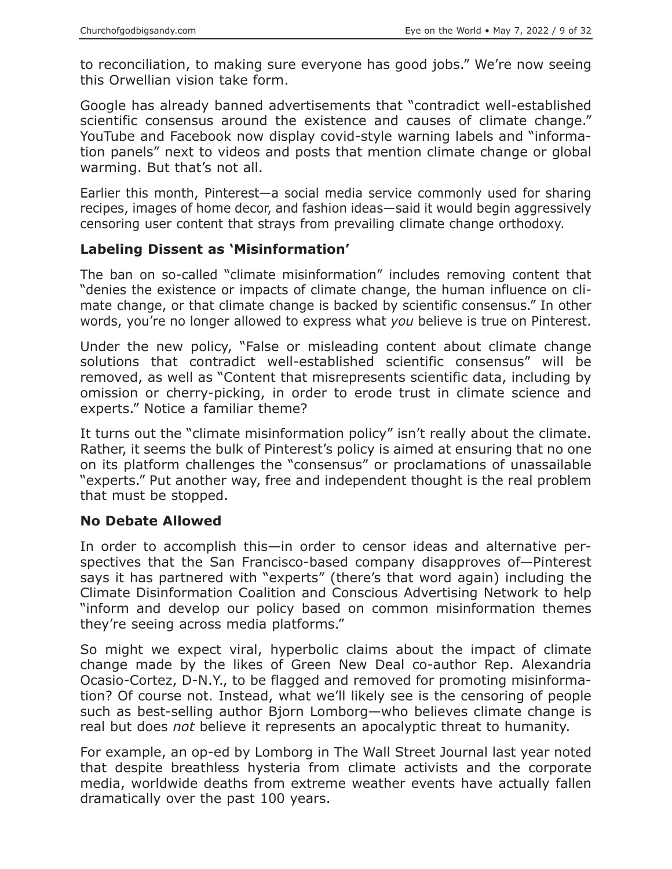to reconciliation, to making sure everyone has good jobs." We're now seeing this Orwellian vision take form.

Google has already banned advertisements that "contradict well-established scientific consensus around the existence and causes of climate change." YouTube and Facebook now display covid-style warning labels and "information panels" next to videos and posts that mention climate change or global warming. But that's not all.

Earlier this month, Pinterest—a social media service commonly used for sharing recipes, images of home decor, and fashion ideas—said it would begin aggressively censoring user content that strays from prevailing climate change orthodoxy.

#### **Labeling Dissent as 'Misinformation'**

The ban on so-called "climate misinformation" includes removing content that "denies the existence or impacts of climate change, the human influence on climate change, or that climate change is backed by scientific consensus." In other words, you're no longer allowed to express what *you* believe is true on Pinterest.

Under the new policy, "False or misleading content about climate change solutions that contradict well-established scientific consensus" will be removed, as well as "Content that misrepresents scientific data, including by omission or cherry-picking, in order to erode trust in climate science and experts." Notice a familiar theme?

It turns out the "climate misinformation policy" isn't really about the climate. Rather, it seems the bulk of Pinterest's policy is aimed at ensuring that no one on its platform challenges the "consensus" or proclamations of unassailable "experts." Put another way, free and independent thought is the real problem that must be stopped.

#### **No Debate Allowed**

In order to accomplish this—in order to censor ideas and alternative perspectives that the San Francisco-based company disapproves of—Pinterest says it has partnered with "experts" (there's that word again) including the Climate Disinformation Coalition and Conscious Advertising Network to help "inform and develop our policy based on common misinformation themes they're seeing across media platforms."

So might we expect viral, hyperbolic claims about the impact of climate change made by the likes of Green New Deal co-author Rep. Alexandria Ocasio-Cortez, D-N.Y., to be flagged and removed for promoting misinformation? Of course not. Instead, what we'll likely see is the censoring of people such as best-selling author Bjorn Lomborg—who believes climate change is real but does *not* believe it represents an apocalyptic threat to humanity.

For example, an op-ed by Lomborg in The Wall Street Journal last year noted that despite breathless hysteria from climate activists and the corporate media, worldwide deaths from extreme weather events have actually fallen dramatically over the past 100 years.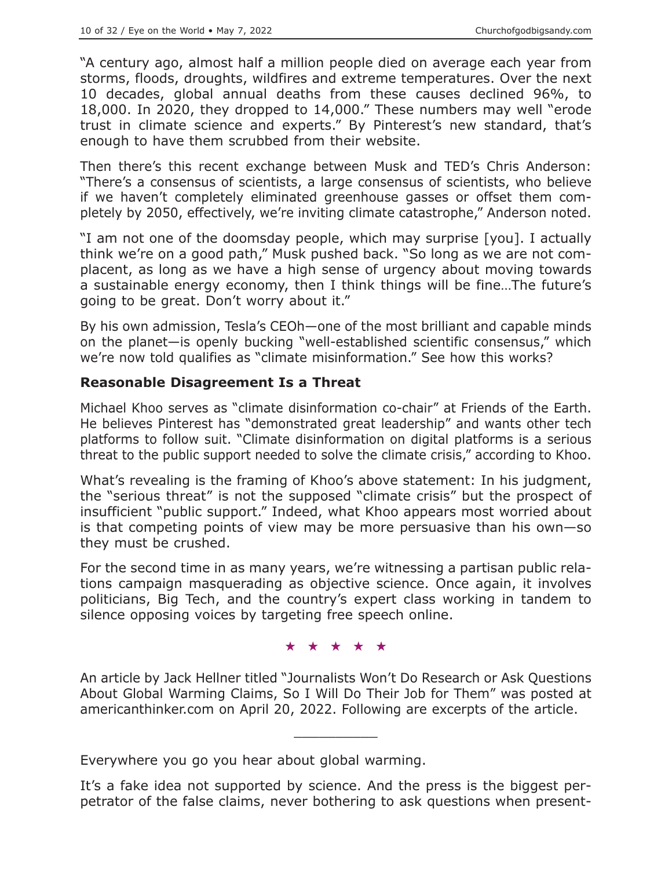"A century ago, almost half a million people died on average each year from storms, floods, droughts, wildfires and extreme temperatures. Over the next 10 decades, global annual deaths from these causes declined 96%, to 18,000. In 2020, they dropped to 14,000." These numbers may well "erode trust in climate science and experts." By Pinterest's new standard, that's enough to have them scrubbed from their website.

Then there's this recent exchange between Musk and TED's Chris Anderson: "There's a consensus of scientists, a large consensus of scientists, who believe if we haven't completely eliminated greenhouse gasses or offset them completely by 2050, effectively, we're inviting climate catastrophe," Anderson noted.

"I am not one of the doomsday people, which may surprise [you]. I actually think we're on a good path," Musk pushed back. "So long as we are not complacent, as long as we have a high sense of urgency about moving towards a sustainable energy economy, then I think things will be fine…The future's going to be great. Don't worry about it."

By his own admission, Tesla's CEOh—one of the most brilliant and capable minds on the planet—is openly bucking "well-established scientific consensus," which we're now told qualifies as "climate misinformation." See how this works?

## **Reasonable Disagreement Is a Threat**

Michael Khoo serves as "climate disinformation co-chair" at Friends of the Earth. He believes Pinterest has "demonstrated great leadership" and wants other tech platforms to follow suit. "Climate disinformation on digital platforms is a serious threat to the public support needed to solve the climate crisis," according to Khoo.

What's revealing is the framing of Khoo's above statement: In his judgment, the "serious threat" is not the supposed "climate crisis" but the prospect of insufficient "public support." Indeed, what Khoo appears most worried about is that competing points of view may be more persuasive than his own—so they must be crushed.

For the second time in as many years, we're witnessing a partisan public relations campaign masquerading as objective science. Once again, it involves politicians, Big Tech, and the country's expert class working in tandem to silence opposing voices by targeting free speech online.

#### ★★★★★

An article by Jack Hellner titled "Journalists Won't Do Research or Ask Questions About Global Warming Claims, So I Will Do Their Job for Them" was posted at americanthinker.com on April 20, 2022. Following are excerpts of the article.

 $\overline{\phantom{a}}$  , where  $\overline{\phantom{a}}$ 

Everywhere you go you hear about global warming.

It's a fake idea not supported by science. And the press is the biggest perpetrator of the false claims, never bothering to ask questions when present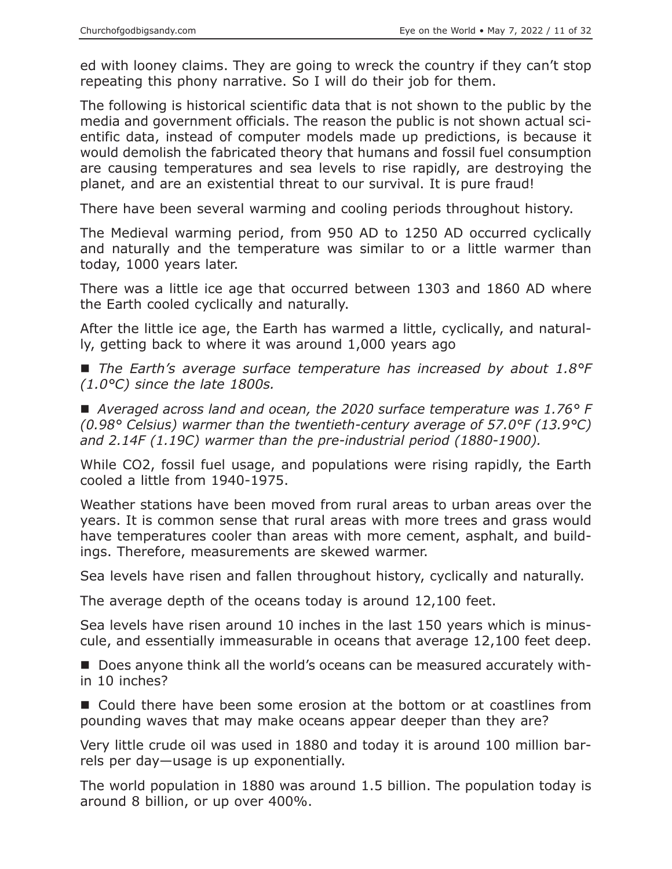ed with looney claims. They are going to wreck the country if they can't stop repeating this phony narrative. So I will do their job for them.

The following is historical scientific data that is not shown to the public by the media and government officials. The reason the public is not shown actual scientific data, instead of computer models made up predictions, is because it would demolish the fabricated theory that humans and fossil fuel consumption are causing temperatures and sea levels to rise rapidly, are destroying the planet, and are an existential threat to our survival. It is pure fraud!

There have been several warming and cooling periods throughout history.

The Medieval warming period, from 950 AD to 1250 AD occurred cyclically and naturally and the temperature was similar to or a little warmer than today, 1000 years later.

There was a little ice age that occurred between 1303 and 1860 AD where the Earth cooled cyclically and naturally.

After the little ice age, the Earth has warmed a little, cyclically, and naturally, getting back to where it was around 1,000 years ago

■ The Earth's average surface temperature has increased by about 1.8°F *(1.0°C) since the late 1800s.*

■ *Averaged across land and ocean, the 2020 surface temperature was 1.76° F (0.98° Celsius) warmer than the twentieth-century average of 57.0°F (13.9°C) and 2.14F (1.19C) warmer than the pre-industrial period (1880-1900).*

While CO2, fossil fuel usage, and populations were rising rapidly, the Earth cooled a little from 1940-1975.

Weather stations have been moved from rural areas to urban areas over the years. It is common sense that rural areas with more trees and grass would have temperatures cooler than areas with more cement, asphalt, and buildings. Therefore, measurements are skewed warmer.

Sea levels have risen and fallen throughout history, cyclically and naturally.

The average depth of the oceans today is around 12,100 feet.

Sea levels have risen around 10 inches in the last 150 years which is minuscule, and essentially immeasurable in oceans that average 12,100 feet deep.

■ Does anyone think all the world's oceans can be measured accurately within 10 inches?

■ Could there have been some erosion at the bottom or at coastlines from pounding waves that may make oceans appear deeper than they are?

Very little crude oil was used in 1880 and today it is around 100 million barrels per day—usage is up exponentially.

The world population in 1880 was around 1.5 billion. The population today is around 8 billion, or up over 400%.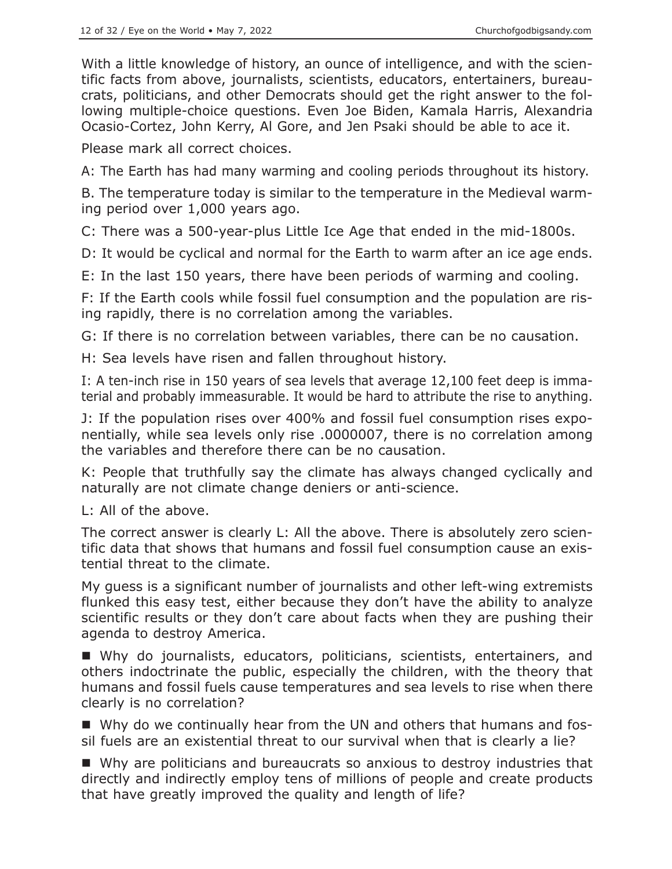With a little knowledge of history, an ounce of intelligence, and with the scientific facts from above, journalists, scientists, educators, entertainers, bureaucrats, politicians, and other Democrats should get the right answer to the following multiple-choice questions. Even Joe Biden, Kamala Harris, Alexandria Ocasio-Cortez, John Kerry, Al Gore, and Jen Psaki should be able to ace it.

Please mark all correct choices.

A: The Earth has had many warming and cooling periods throughout its history.

B. The temperature today is similar to the temperature in the Medieval warming period over 1,000 years ago.

C: There was a 500-year-plus Little Ice Age that ended in the mid-1800s.

D: It would be cyclical and normal for the Earth to warm after an ice age ends.

E: In the last 150 years, there have been periods of warming and cooling.

F: If the Earth cools while fossil fuel consumption and the population are rising rapidly, there is no correlation among the variables.

G: If there is no correlation between variables, there can be no causation.

H: Sea levels have risen and fallen throughout history.

I: A ten-inch rise in 150 years of sea levels that average 12,100 feet deep is immaterial and probably immeasurable. It would be hard to attribute the rise to anything.

J: If the population rises over 400% and fossil fuel consumption rises exponentially, while sea levels only rise .0000007, there is no correlation among the variables and therefore there can be no causation.

K: People that truthfully say the climate has always changed cyclically and naturally are not climate change deniers or anti-science.

L: All of the above.

The correct answer is clearly L: All the above. There is absolutely zero scientific data that shows that humans and fossil fuel consumption cause an existential threat to the climate.

My guess is a significant number of journalists and other left-wing extremists flunked this easy test, either because they don't have the ability to analyze scientific results or they don't care about facts when they are pushing their agenda to destroy America.

 Why do journalists, educators, politicians, scientists, entertainers, and others indoctrinate the public, especially the children, with the theory that humans and fossil fuels cause temperatures and sea levels to rise when there clearly is no correlation?

■ Why do we continually hear from the UN and others that humans and fossil fuels are an existential threat to our survival when that is clearly a lie?

■ Why are politicians and bureaucrats so anxious to destroy industries that directly and indirectly employ tens of millions of people and create products that have greatly improved the quality and length of life?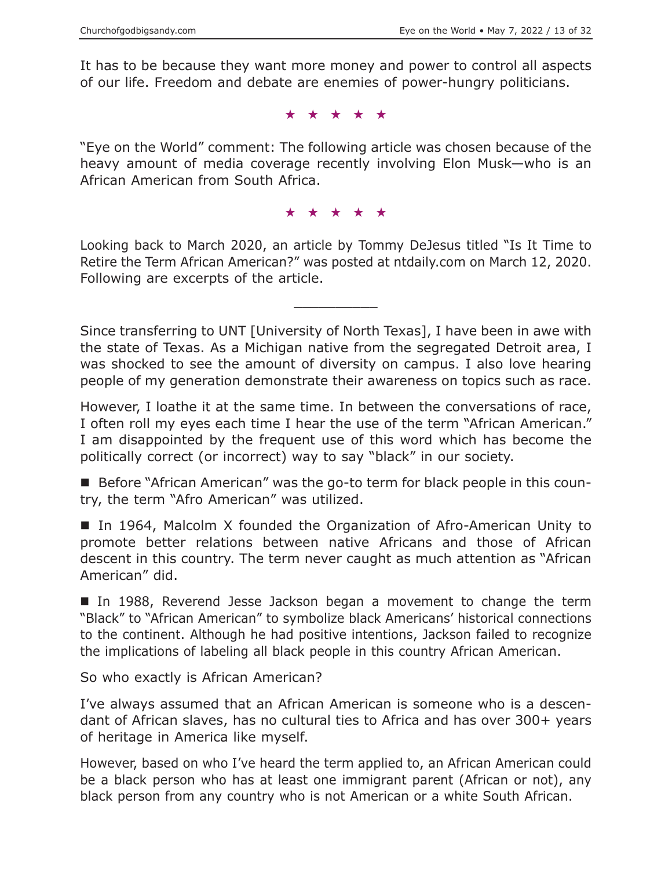It has to be because they want more money and power to control all aspects of our life. Freedom and debate are enemies of power-hungry politicians.

★★★★★

"Eye on the World" comment: The following article was chosen because of the heavy amount of media coverage recently involving Elon Musk—who is an African American from South Africa.

★★★★★

Looking back to March 2020, an article by Tommy DeJesus titled "Is It Time to Retire the Term African American?" was posted at ntdaily.com on March 12, 2020. Following are excerpts of the article.

 $\overline{\phantom{a}}$  , where  $\overline{\phantom{a}}$ 

Since transferring to UNT [University of North Texas], I have been in awe with the state of Texas. As a Michigan native from the segregated Detroit area, I was shocked to see the amount of diversity on campus. I also love hearing people of my generation demonstrate their awareness on topics such as race.

However, I loathe it at the same time. In between the conversations of race, I often roll my eyes each time I hear the use of the term "African American." I am disappointed by the frequent use of this word which has become the politically correct (or incorrect) way to say "black" in our society.

■ Before "African American" was the go-to term for black people in this country, the term "Afro American" was utilized.

■ In 1964, Malcolm X founded the Organization of Afro-American Unity to promote better relations between native Africans and those of African descent in this country. The term never caught as much attention as "African American" did.

In 1988, Reverend Jesse Jackson began a movement to change the term "Black" to "African American" to symbolize black Americans' historical connections to the continent. Although he had positive intentions, Jackson failed to recognize the implications of labeling all black people in this country African American.

So who exactly is African American?

I've always assumed that an African American is someone who is a descendant of African slaves, has no cultural ties to Africa and has over 300+ years of heritage in America like myself.

However, based on who I've heard the term applied to, an African American could be a black person who has at least one immigrant parent (African or not), any black person from any country who is not American or a white South African.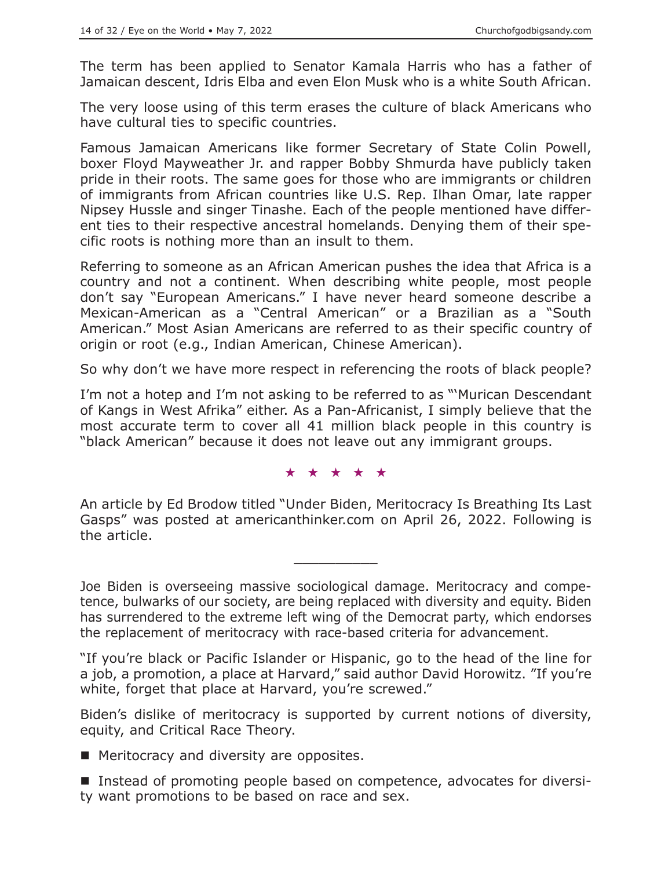The term has been applied to Senator Kamala Harris who has a father of Jamaican descent, Idris Elba and even Elon Musk who is a white South African.

The very loose using of this term erases the culture of black Americans who have cultural ties to specific countries.

Famous Jamaican Americans like former Secretary of State Colin Powell, boxer Floyd Mayweather Jr. and rapper Bobby Shmurda have publicly taken pride in their roots. The same goes for those who are immigrants or children of immigrants from African countries like U.S. Rep. Ilhan Omar, late rapper Nipsey Hussle and singer Tinashe. Each of the people mentioned have different ties to their respective ancestral homelands. Denying them of their specific roots is nothing more than an insult to them.

Referring to someone as an African American pushes the idea that Africa is a country and not a continent. When describing white people, most people don't say "European Americans." I have never heard someone describe a Mexican-American as a "Central American" or a Brazilian as a "South American." Most Asian Americans are referred to as their specific country of origin or root (e.g., Indian American, Chinese American).

So why don't we have more respect in referencing the roots of black people?

I'm not a hotep and I'm not asking to be referred to as "'Murican Descendant of Kangs in West Afrika" either. As a Pan-Africanist, I simply believe that the most accurate term to cover all 41 million black people in this country is "black American" because it does not leave out any immigrant groups.

#### ★★★★★

An article by Ed Brodow titled "Under Biden, Meritocracy Is Breathing Its Last Gasps" was posted at americanthinker.com on April 26, 2022. Following is the article.

 $\overline{\phantom{a}}$  , where  $\overline{\phantom{a}}$ 

Joe Biden is overseeing massive sociological damage. Meritocracy and competence, bulwarks of our society, are being replaced with diversity and equity. Biden has surrendered to the extreme left wing of the Democrat party, which endorses the replacement of meritocracy with race-based criteria for advancement.

"If you're black or Pacific Islander or Hispanic, go to the head of the line for a job, a promotion, a place at Harvard," said author David Horowitz. "If you're white, forget that place at Harvard, you're screwed."

Biden's dislike of meritocracy is supported by current notions of diversity, equity, and Critical Race Theory.

**Meritocracy and diversity are opposites.** 

■ Instead of promoting people based on competence, advocates for diversity want promotions to be based on race and sex.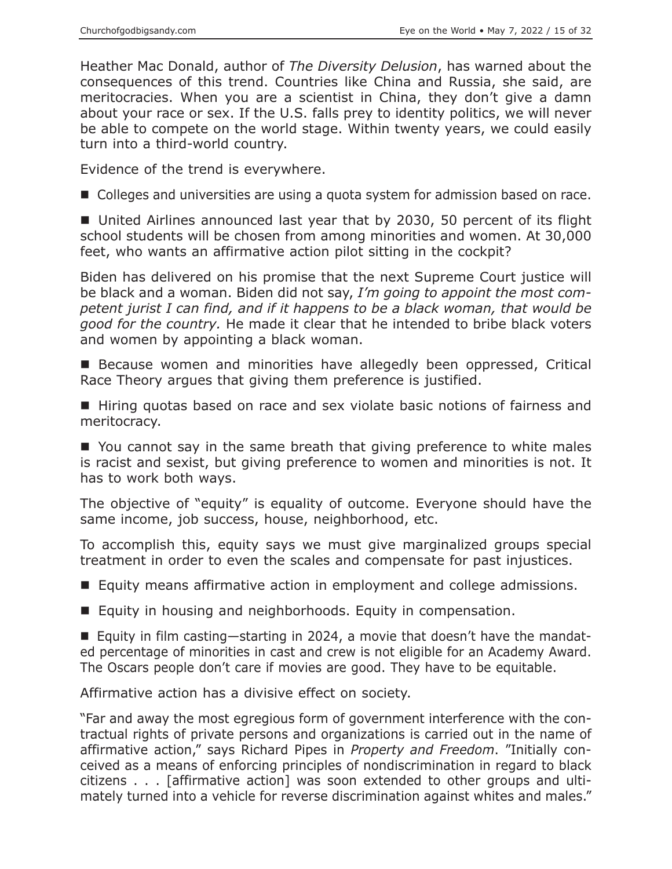Heather Mac Donald, author of *The Diversity Delusion*, has warned about the consequences of this trend. Countries like China and Russia, she said, are meritocracies. When you are a scientist in China, they don't give a damn about your race or sex. If the U.S. falls prey to identity politics, we will never be able to compete on the world stage. Within twenty years, we could easily turn into a third-world country.

Evidence of the trend is everywhere.

■ Colleges and universities are using a quota system for admission based on race.

■ United Airlines announced last year that by 2030, 50 percent of its flight school students will be chosen from among minorities and women. At 30,000 feet, who wants an affirmative action pilot sitting in the cockpit?

Biden has delivered on his promise that the next Supreme Court justice will be black and a woman. Biden did not say, *I'm going to appoint the most competent jurist I can find, and if it happens to be a black woman, that would be good for the country.* He made it clear that he intended to bribe black voters and women by appointing a black woman.

■ Because women and minorities have allegedly been oppressed, Critical Race Theory argues that giving them preference is justified.

■ Hiring quotas based on race and sex violate basic notions of fairness and meritocracy.

■ You cannot say in the same breath that giving preference to white males is racist and sexist, but giving preference to women and minorities is not. It has to work both ways.

The objective of "equity" is equality of outcome. Everyone should have the same income, job success, house, neighborhood, etc.

To accomplish this, equity says we must give marginalized groups special treatment in order to even the scales and compensate for past injustices.

Equity means affirmative action in employment and college admissions.

Equity in housing and neighborhoods. Equity in compensation.

■ Equity in film casting—starting in 2024, a movie that doesn't have the mandated percentage of minorities in cast and crew is not eligible for an Academy Award. The Oscars people don't care if movies are good. They have to be equitable.

Affirmative action has a divisive effect on society.

"Far and away the most egregious form of government interference with the contractual rights of private persons and organizations is carried out in the name of affirmative action," says Richard Pipes in *Property and Freedom*. "Initially conceived as a means of enforcing principles of nondiscrimination in regard to black citizens . . . [affirmative action] was soon extended to other groups and ultimately turned into a vehicle for reverse discrimination against whites and males."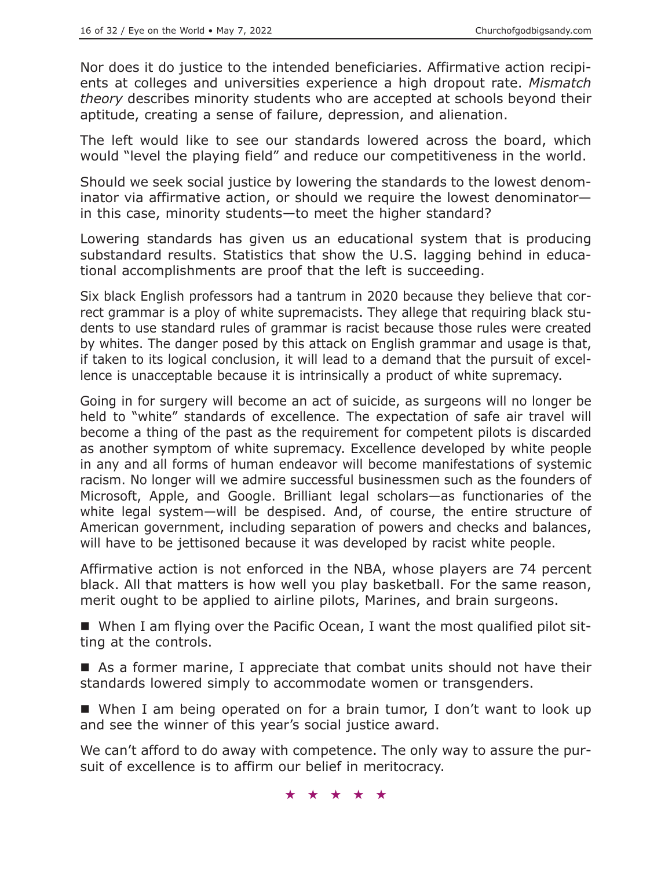Nor does it do justice to the intended beneficiaries. Affirmative action recipients at colleges and universities experience a high dropout rate. *Mismatch theory* describes minority students who are accepted at schools beyond their aptitude, creating a sense of failure, depression, and alienation.

The left would like to see our standards lowered across the board, which would "level the playing field" and reduce our competitiveness in the world.

Should we seek social justice by lowering the standards to the lowest denominator via affirmative action, or should we require the lowest denominator in this case, minority students—to meet the higher standard?

Lowering standards has given us an educational system that is producing substandard results. Statistics that show the U.S. lagging behind in educational accomplishments are proof that the left is succeeding.

Six black English professors had a tantrum in 2020 because they believe that correct grammar is a ploy of white supremacists. They allege that requiring black students to use standard rules of grammar is racist because those rules were created by whites. The danger posed by this attack on English grammar and usage is that, if taken to its logical conclusion, it will lead to a demand that the pursuit of excellence is unacceptable because it is intrinsically a product of white supremacy.

Going in for surgery will become an act of suicide, as surgeons will no longer be held to "white" standards of excellence. The expectation of safe air travel will become a thing of the past as the requirement for competent pilots is discarded as another symptom of white supremacy. Excellence developed by white people in any and all forms of human endeavor will become manifestations of systemic racism. No longer will we admire successful businessmen such as the founders of Microsoft, Apple, and Google. Brilliant legal scholars—as functionaries of the white legal system—will be despised. And, of course, the entire structure of American government, including separation of powers and checks and balances, will have to be jettisoned because it was developed by racist white people.

Affirmative action is not enforced in the NBA, whose players are 74 percent black. All that matters is how well you play basketball. For the same reason, merit ought to be applied to airline pilots, Marines, and brain surgeons.

■ When I am flying over the Pacific Ocean, I want the most qualified pilot sitting at the controls.

■ As a former marine, I appreciate that combat units should not have their standards lowered simply to accommodate women or transgenders.

 When I am being operated on for a brain tumor, I don't want to look up and see the winner of this year's social justice award.

We can't afford to do away with competence. The only way to assure the pursuit of excellence is to affirm our belief in meritocracy.

★★★★★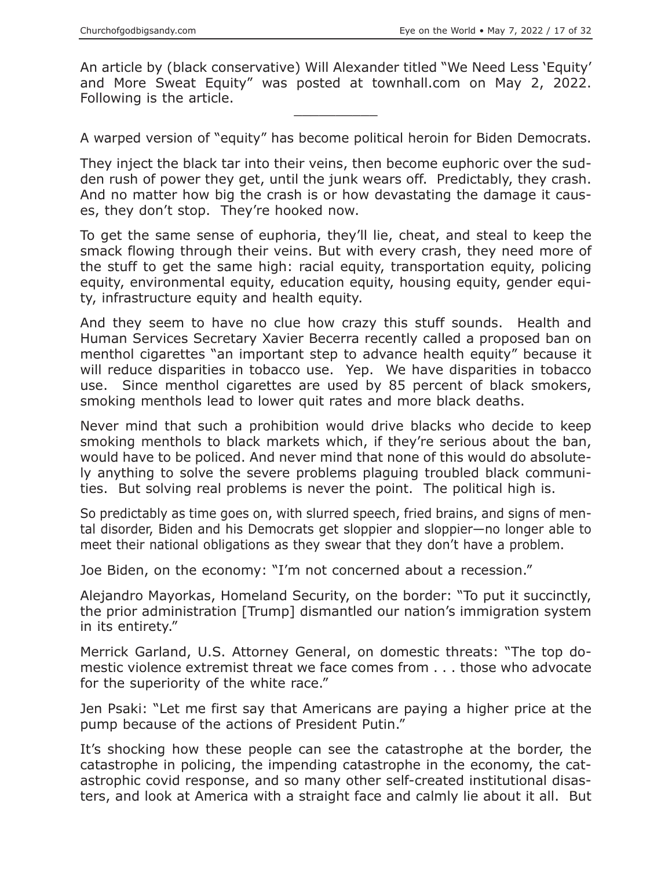An article by (black conservative) Will Alexander titled "We Need Less 'Equity' and More Sweat Equity" was posted at townhall.com on May 2, 2022. Following is the article.

A warped version of "equity" has become political heroin for Biden Democrats.

They inject the black tar into their veins, then become euphoric over the sudden rush of power they get, until the junk wears off. Predictably, they crash. And no matter how big the crash is or how devastating the damage it causes, they don't stop. They're hooked now.

To get the same sense of euphoria, they'll lie, cheat, and steal to keep the smack flowing through their veins. But with every crash, they need more of the stuff to get the same high: racial equity, transportation equity, policing equity, environmental equity, education equity, housing equity, gender equity, infrastructure equity and health equity.

And they seem to have no clue how crazy this stuff sounds. Health and Human Services Secretary Xavier Becerra recently called a proposed ban on menthol cigarettes "an important step to advance health equity" because it will reduce disparities in tobacco use. Yep. We have disparities in tobacco use. Since menthol cigarettes are used by 85 percent of black smokers, smoking menthols lead to lower quit rates and more black deaths.

Never mind that such a prohibition would drive blacks who decide to keep smoking menthols to black markets which, if they're serious about the ban, would have to be policed. And never mind that none of this would do absolutely anything to solve the severe problems plaguing troubled black communities. But solving real problems is never the point. The political high is.

So predictably as time goes on, with slurred speech, fried brains, and signs of mental disorder, Biden and his Democrats get sloppier and sloppier—no longer able to meet their national obligations as they swear that they don't have a problem.

Joe Biden, on the economy: "I'm not concerned about a recession."

Alejandro Mayorkas, Homeland Security, on the border: "To put it succinctly, the prior administration [Trump] dismantled our nation's immigration system in its entirety."

Merrick Garland, U.S. Attorney General, on domestic threats: "The top domestic violence extremist threat we face comes from . . . those who advocate for the superiority of the white race."

Jen Psaki: "Let me first say that Americans are paying a higher price at the pump because of the actions of President Putin."

It's shocking how these people can see the catastrophe at the border, the catastrophe in policing, the impending catastrophe in the economy, the catastrophic covid response, and so many other self-created institutional disasters, and look at America with a straight face and calmly lie about it all. But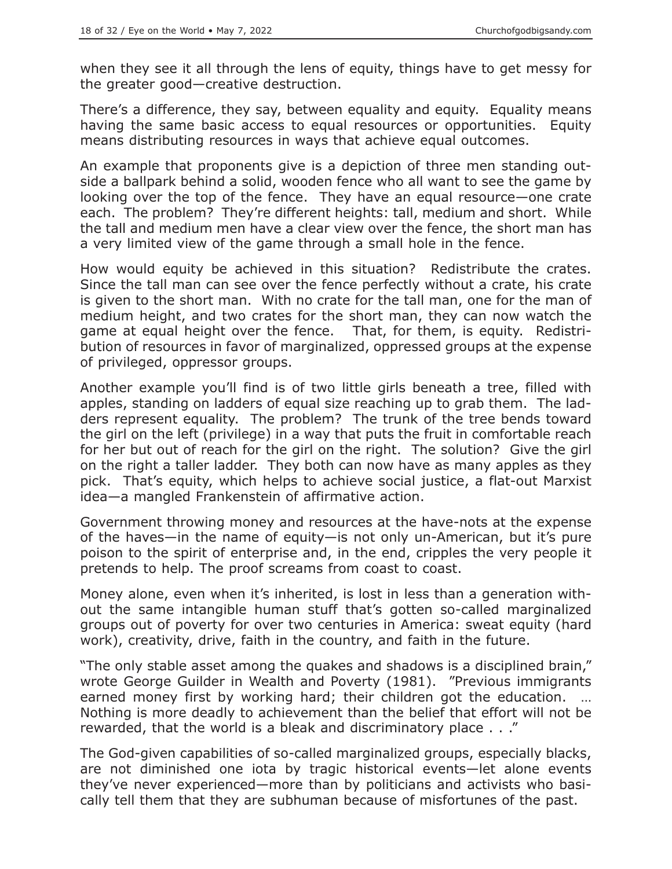when they see it all through the lens of equity, things have to get messy for the greater good—creative destruction.

There's a difference, they say, between equality and equity. Equality means having the same basic access to equal resources or opportunities. Equity means distributing resources in ways that achieve equal outcomes.

An example that proponents give is a depiction of three men standing outside a ballpark behind a solid, wooden fence who all want to see the game by looking over the top of the fence. They have an equal resource—one crate each. The problem? They're different heights: tall, medium and short. While the tall and medium men have a clear view over the fence, the short man has a very limited view of the game through a small hole in the fence.

How would equity be achieved in this situation? Redistribute the crates. Since the tall man can see over the fence perfectly without a crate, his crate is given to the short man. With no crate for the tall man, one for the man of medium height, and two crates for the short man, they can now watch the game at equal height over the fence. That, for them, is equity. Redistribution of resources in favor of marginalized, oppressed groups at the expense of privileged, oppressor groups.

Another example you'll find is of two little girls beneath a tree, filled with apples, standing on ladders of equal size reaching up to grab them. The ladders represent equality. The problem? The trunk of the tree bends toward the girl on the left (privilege) in a way that puts the fruit in comfortable reach for her but out of reach for the girl on the right. The solution? Give the girl on the right a taller ladder. They both can now have as many apples as they pick. That's equity, which helps to achieve social justice, a flat-out Marxist idea—a mangled Frankenstein of affirmative action.

Government throwing money and resources at the have-nots at the expense of the haves—in the name of equity—is not only un-American, but it's pure poison to the spirit of enterprise and, in the end, cripples the very people it pretends to help. The proof screams from coast to coast.

Money alone, even when it's inherited, is lost in less than a generation without the same intangible human stuff that's gotten so-called marginalized groups out of poverty for over two centuries in America: sweat equity (hard work), creativity, drive, faith in the country, and faith in the future.

"The only stable asset among the quakes and shadows is a disciplined brain," wrote George Guilder in Wealth and Poverty (1981). "Previous immigrants earned money first by working hard; their children got the education. Nothing is more deadly to achievement than the belief that effort will not be rewarded, that the world is a bleak and discriminatory place . . ."

The God-given capabilities of so-called marginalized groups, especially blacks, are not diminished one iota by tragic historical events—let alone events they've never experienced—more than by politicians and activists who basically tell them that they are subhuman because of misfortunes of the past.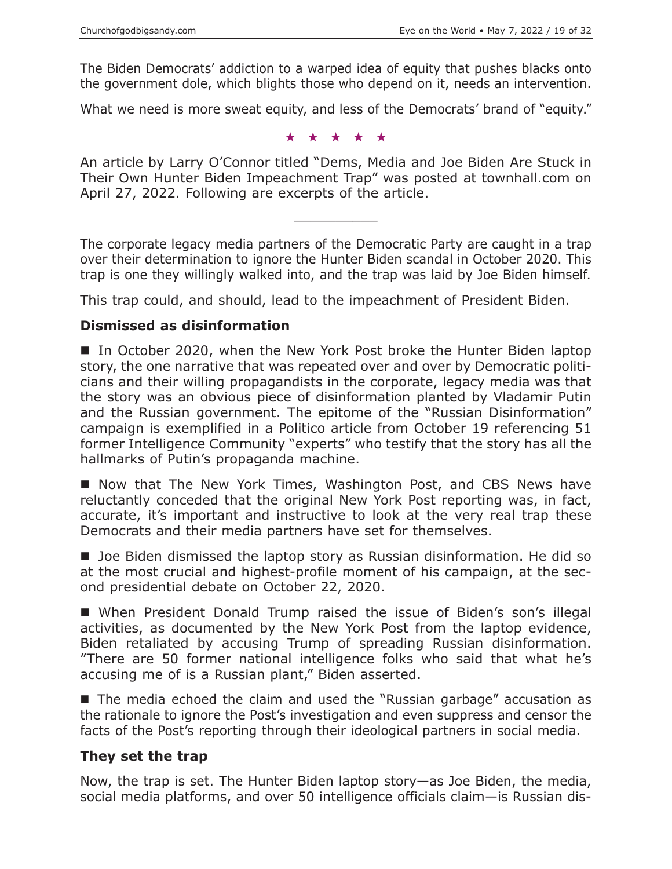The Biden Democrats' addiction to a warped idea of equity that pushes blacks onto the government dole, which blights those who depend on it, needs an intervention.

What we need is more sweat equity, and less of the Democrats' brand of "equity."

★★★★★

An article by Larry O'Connor titled "Dems, Media and Joe Biden Are Stuck in Their Own Hunter Biden Impeachment Trap" was posted at townhall.com on April 27, 2022. Following are excerpts of the article.

 $\overline{\phantom{a}}$  , where  $\overline{\phantom{a}}$ 

The corporate legacy media partners of the Democratic Party are caught in a trap over their determination to ignore the Hunter Biden scandal in October 2020. This trap is one they willingly walked into, and the trap was laid by Joe Biden himself.

This trap could, and should, lead to the impeachment of President Biden.

#### **Dismissed as disinformation**

In October 2020, when the New York Post broke the Hunter Biden laptop story, the one narrative that was repeated over and over by Democratic politicians and their willing propagandists in the corporate, legacy media was that the story was an obvious piece of disinformation planted by Vladamir Putin and the Russian government. The epitome of the "Russian Disinformation" campaign is exemplified in a Politico article from October 19 referencing 51 former Intelligence Community "experts" who testify that the story has all the hallmarks of Putin's propaganda machine.

■ Now that The New York Times, Washington Post, and CBS News have reluctantly conceded that the original New York Post reporting was, in fact, accurate, it's important and instructive to look at the very real trap these Democrats and their media partners have set for themselves.

■ Joe Biden dismissed the laptop story as Russian disinformation. He did so at the most crucial and highest-profile moment of his campaign, at the second presidential debate on October 22, 2020.

■ When President Donald Trump raised the issue of Biden's son's illegal activities, as documented by the New York Post from the laptop evidence, Biden retaliated by accusing Trump of spreading Russian disinformation. "There are 50 former national intelligence folks who said that what he's accusing me of is a Russian plant," Biden asserted.

■ The media echoed the claim and used the "Russian garbage" accusation as the rationale to ignore the Post's investigation and even suppress and censor the facts of the Post's reporting through their ideological partners in social media.

#### **They set the trap**

Now, the trap is set. The Hunter Biden laptop story—as Joe Biden, the media, social media platforms, and over 50 intelligence officials claim—is Russian dis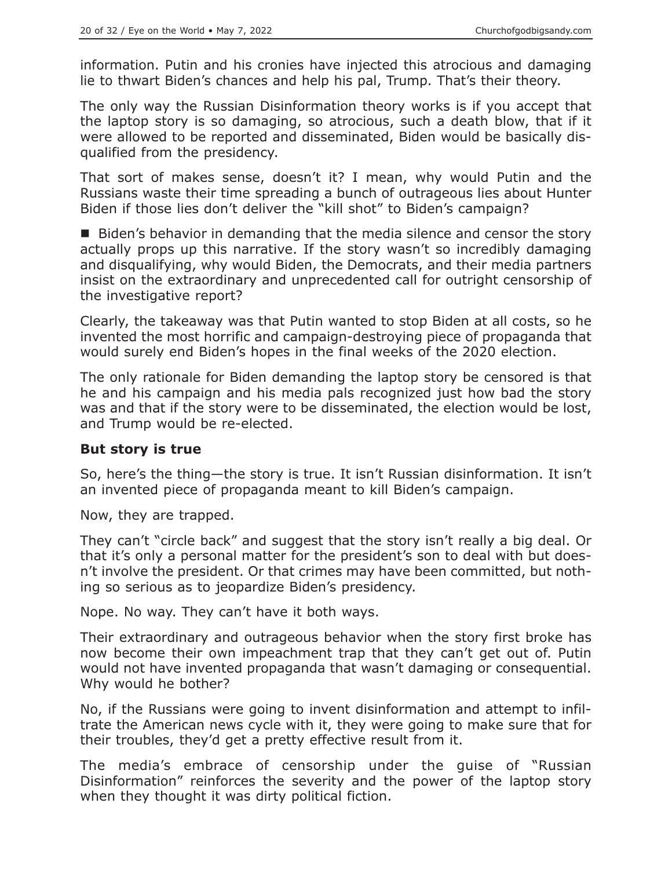information. Putin and his cronies have injected this atrocious and damaging lie to thwart Biden's chances and help his pal, Trump. That's their theory.

The only way the Russian Disinformation theory works is if you accept that the laptop story is so damaging, so atrocious, such a death blow, that if it were allowed to be reported and disseminated, Biden would be basically disqualified from the presidency.

That sort of makes sense, doesn't it? I mean, why would Putin and the Russians waste their time spreading a bunch of outrageous lies about Hunter Biden if those lies don't deliver the "kill shot" to Biden's campaign?

■ Biden's behavior in demanding that the media silence and censor the story actually props up this narrative. If the story wasn't so incredibly damaging and disqualifying, why would Biden, the Democrats, and their media partners insist on the extraordinary and unprecedented call for outright censorship of the investigative report?

Clearly, the takeaway was that Putin wanted to stop Biden at all costs, so he invented the most horrific and campaign-destroying piece of propaganda that would surely end Biden's hopes in the final weeks of the 2020 election.

The only rationale for Biden demanding the laptop story be censored is that he and his campaign and his media pals recognized just how bad the story was and that if the story were to be disseminated, the election would be lost, and Trump would be re-elected.

#### **But story is true**

So, here's the thing—the story is true. It isn't Russian disinformation. It isn't an invented piece of propaganda meant to kill Biden's campaign.

Now, they are trapped.

They can't "circle back" and suggest that the story isn't really a big deal. Or that it's only a personal matter for the president's son to deal with but doesn't involve the president. Or that crimes may have been committed, but nothing so serious as to jeopardize Biden's presidency.

Nope. No way. They can't have it both ways.

Their extraordinary and outrageous behavior when the story first broke has now become their own impeachment trap that they can't get out of. Putin would not have invented propaganda that wasn't damaging or consequential. Why would he bother?

No, if the Russians were going to invent disinformation and attempt to infiltrate the American news cycle with it, they were going to make sure that for their troubles, they'd get a pretty effective result from it.

The media's embrace of censorship under the guise of "Russian Disinformation" reinforces the severity and the power of the laptop story when they thought it was dirty political fiction.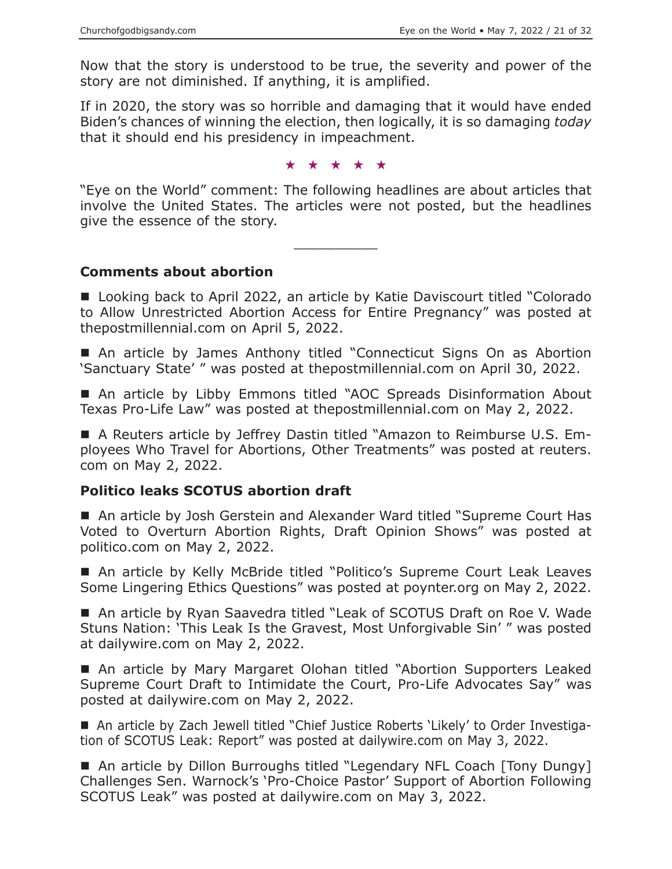Now that the story is understood to be true, the severity and power of the story are not diminished. If anything, it is amplified.

If in 2020, the story was so horrible and damaging that it would have ended Biden's chances of winning the election, then logically, it is so damaging *today* that it should end his presidency in impeachment.

★★★★★

"Eye on the World" comment: The following headlines are about articles that involve the United States. The articles were not posted, but the headlines give the essence of the story.

 $\overline{\phantom{a}}$  , where  $\overline{\phantom{a}}$ 

**Comments about abortion**

■ Looking back to April 2022, an article by Katie Daviscourt titled "Colorado to Allow Unrestricted Abortion Access for Entire Pregnancy" was posted at thepostmillennial.com on April 5, 2022.

■ An article by James Anthony titled "Connecticut Signs On as Abortion 'Sanctuary State' " was posted at thepostmillennial.com on April 30, 2022.

■ An article by Libby Emmons titled "AOC Spreads Disinformation About Texas Pro-Life Law" was posted at thepostmillennial.com on May 2, 2022.

 A Reuters article by Jeffrey Dastin titled "Amazon to Reimburse U.S. Employees Who Travel for Abortions, Other Treatments" was posted at reuters. com on May 2, 2022.

#### **Politico leaks SCOTUS abortion draft**

■ An article by Josh Gerstein and Alexander Ward titled "Supreme Court Has Voted to Overturn Abortion Rights, Draft Opinion Shows" was posted at politico.com on May 2, 2022.

■ An article by Kelly McBride titled "Politico's Supreme Court Leak Leaves Some Lingering Ethics Questions" was posted at poynter.org on May 2, 2022.

■ An article by Ryan Saavedra titled "Leak of SCOTUS Draft on Roe V. Wade Stuns Nation: 'This Leak Is the Gravest, Most Unforgivable Sin' " was posted at dailywire.com on May 2, 2022.

■ An article by Mary Margaret Olohan titled "Abortion Supporters Leaked Supreme Court Draft to Intimidate the Court, Pro-Life Advocates Say" was posted at dailywire.com on May 2, 2022.

 An article by Zach Jewell titled "Chief Justice Roberts 'Likely' to Order Investigation of SCOTUS Leak: Report" was posted at dailywire.com on May 3, 2022.

■ An article by Dillon Burroughs titled "Legendary NFL Coach [Tony Dungy] Challenges Sen. Warnock's 'Pro-Choice Pastor' Support of Abortion Following SCOTUS Leak" was posted at dailywire.com on May 3, 2022.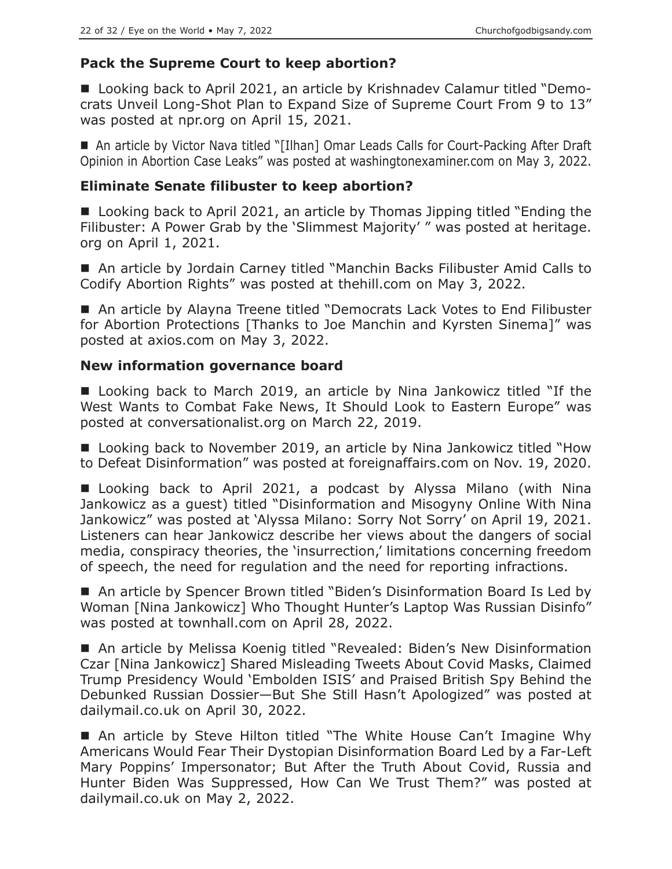## **Pack the Supreme Court to keep abortion?**

■ Looking back to April 2021, an article by Krishnadev Calamur titled "Democrats Unveil Long-Shot Plan to Expand Size of Supreme Court From 9 to 13" was posted at npr.org on April 15, 2021.

■ An article by Victor Nava titled "[Ilhan] Omar Leads Calls for Court-Packing After Draft Opinion in Abortion Case Leaks" was posted at washingtonexaminer.com on May 3, 2022.

#### **Eliminate Senate filibuster to keep abortion?**

■ Looking back to April 2021, an article by Thomas Jipping titled "Ending the Filibuster: A Power Grab by the 'Slimmest Majority' " was posted at heritage. org on April 1, 2021.

■ An article by Jordain Carney titled "Manchin Backs Filibuster Amid Calls to Codify Abortion Rights" was posted at thehill.com on May 3, 2022.

■ An article by Alayna Treene titled "Democrats Lack Votes to End Filibuster for Abortion Protections [Thanks to Joe Manchin and Kyrsten Sinema]" was posted at axios.com on May 3, 2022.

#### **New information governance board**

■ Looking back to March 2019, an article by Nina Jankowicz titled "If the West Wants to Combat Fake News, It Should Look to Eastern Europe" was posted at conversationalist.org on March 22, 2019.

■ Looking back to November 2019, an article by Nina Jankowicz titled "How to Defeat Disinformation" was posted at foreignaffairs.com on Nov. 19, 2020.

■ Looking back to April 2021, a podcast by Alyssa Milano (with Nina Jankowicz as a guest) titled "Disinformation and Misogyny Online With Nina Jankowicz" was posted at 'Alyssa Milano: Sorry Not Sorry' on April 19, 2021. Listeners can hear Jankowicz describe her views about the dangers of social media, conspiracy theories, the 'insurrection,' limitations concerning freedom of speech, the need for regulation and the need for reporting infractions.

■ An article by Spencer Brown titled "Biden's Disinformation Board Is Led by Woman [Nina Jankowicz] Who Thought Hunter's Laptop Was Russian Disinfo" was posted at townhall.com on April 28, 2022.

■ An article by Melissa Koenig titled "Revealed: Biden's New Disinformation Czar [Nina Jankowicz] Shared Misleading Tweets About Covid Masks, Claimed Trump Presidency Would 'Embolden ISIS' and Praised British Spy Behind the Debunked Russian Dossier—But She Still Hasn't Apologized" was posted at dailymail.co.uk on April 30, 2022.

■ An article by Steve Hilton titled "The White House Can't Imagine Why Americans Would Fear Their Dystopian Disinformation Board Led by a Far-Left Mary Poppins' Impersonator; But After the Truth About Covid, Russia and Hunter Biden Was Suppressed, How Can We Trust Them?" was posted at dailymail.co.uk on May 2, 2022.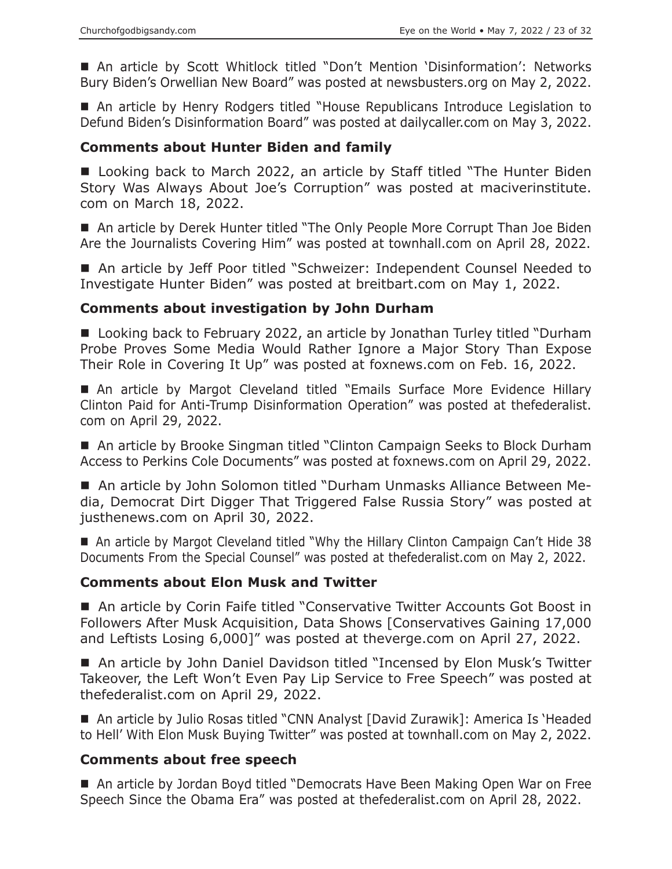■ An article by Scott Whitlock titled "Don't Mention 'Disinformation': Networks Bury Biden's Orwellian New Board" was posted at newsbusters.org on May 2, 2022.

 An article by Henry Rodgers titled "House Republicans Introduce Legislation to Defund Biden's Disinformation Board" was posted at dailycaller.com on May 3, 2022.

#### **Comments about Hunter Biden and family**

■ Looking back to March 2022, an article by Staff titled "The Hunter Biden Story Was Always About Joe's Corruption" was posted at maciverinstitute. com on March 18, 2022.

■ An article by Derek Hunter titled "The Only People More Corrupt Than Joe Biden Are the Journalists Covering Him" was posted at townhall.com on April 28, 2022.

■ An article by Jeff Poor titled "Schweizer: Independent Counsel Needed to Investigate Hunter Biden" was posted at breitbart.com on May 1, 2022.

#### **Comments about investigation by John Durham**

■ Looking back to February 2022, an article by Jonathan Turley titled "Durham Probe Proves Some Media Would Rather Ignore a Major Story Than Expose Their Role in Covering It Up" was posted at foxnews.com on Feb. 16, 2022.

 An article by Margot Cleveland titled "Emails Surface More Evidence Hillary Clinton Paid for Anti-Trump Disinformation Operation" was posted at thefederalist. com on April 29, 2022.

■ An article by Brooke Singman titled "Clinton Campaign Seeks to Block Durham Access to Perkins Cole Documents" was posted at foxnews.com on April 29, 2022.

 An article by John Solomon titled "Durham Unmasks Alliance Between Media, Democrat Dirt Digger That Triggered False Russia Story" was posted at justhenews.com on April 30, 2022.

■ An article by Margot Cleveland titled "Why the Hillary Clinton Campaign Can't Hide 38 Documents From the Special Counsel" was posted at thefederalist.com on May 2, 2022.

#### **Comments about Elon Musk and Twitter**

■ An article by Corin Faife titled "Conservative Twitter Accounts Got Boost in Followers After Musk Acquisition, Data Shows [Conservatives Gaining 17,000 and Leftists Losing 6,000]" was posted at theverge.com on April 27, 2022.

■ An article by John Daniel Davidson titled "Incensed by Elon Musk's Twitter Takeover, the Left Won't Even Pay Lip Service to Free Speech" was posted at thefederalist.com on April 29, 2022.

■ An article by Julio Rosas titled "CNN Analyst [David Zurawik]: America Is 'Headed to Hell' With Elon Musk Buying Twitter" was posted at townhall.com on May 2, 2022.

#### **Comments about free speech**

■ An article by Jordan Boyd titled "Democrats Have Been Making Open War on Free Speech Since the Obama Era" was posted at thefederalist.com on April 28, 2022.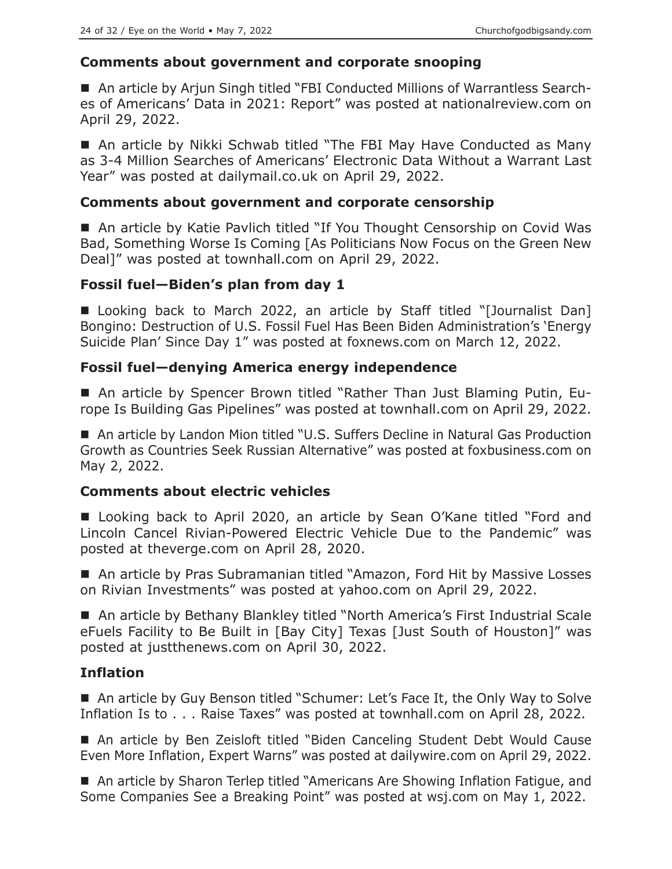#### **Comments about government and corporate snooping**

 An article by Arjun Singh titled "FBI Conducted Millions of Warrantless Searches of Americans' Data in 2021: Report" was posted at nationalreview.com on April 29, 2022.

■ An article by Nikki Schwab titled "The FBI May Have Conducted as Many as 3-4 Million Searches of Americans' Electronic Data Without a Warrant Last Year" was posted at dailymail.co.uk on April 29, 2022.

#### **Comments about government and corporate censorship**

■ An article by Katie Pavlich titled "If You Thought Censorship on Covid Was Bad, Something Worse Is Coming [As Politicians Now Focus on the Green New Deal]" was posted at townhall.com on April 29, 2022.

#### **Fossil fuel—Biden's plan from day 1**

■ Looking back to March 2022, an article by Staff titled "[Journalist Dan] Bongino: Destruction of U.S. Fossil Fuel Has Been Biden Administration's 'Energy Suicide Plan' Since Day 1" was posted at foxnews.com on March 12, 2022.

#### **Fossil fuel—denying America energy independence**

 An article by Spencer Brown titled "Rather Than Just Blaming Putin, Europe Is Building Gas Pipelines" was posted at townhall.com on April 29, 2022.

■ An article by Landon Mion titled "U.S. Suffers Decline in Natural Gas Production Growth as Countries Seek Russian Alternative" was posted at foxbusiness.com on May 2, 2022.

#### **Comments about electric vehicles**

■ Looking back to April 2020, an article by Sean O'Kane titled "Ford and Lincoln Cancel Rivian-Powered Electric Vehicle Due to the Pandemic" was posted at theverge.com on April 28, 2020.

■ An article by Pras Subramanian titled "Amazon, Ford Hit by Massive Losses on Rivian Investments" was posted at yahoo.com on April 29, 2022.

■ An article by Bethany Blankley titled "North America's First Industrial Scale eFuels Facility to Be Built in [Bay City] Texas [Just South of Houston]" was posted at justthenews.com on April 30, 2022.

#### **Inflation**

■ An article by Guy Benson titled "Schumer: Let's Face It, the Only Way to Solve Inflation Is to . . . Raise Taxes" was posted at townhall.com on April 28, 2022.

■ An article by Ben Zeisloft titled "Biden Canceling Student Debt Would Cause Even More Inflation, Expert Warns" was posted at dailywire.com on April 29, 2022.

■ An article by Sharon Terlep titled "Americans Are Showing Inflation Fatigue, and Some Companies See a Breaking Point" was posted at wsj.com on May 1, 2022.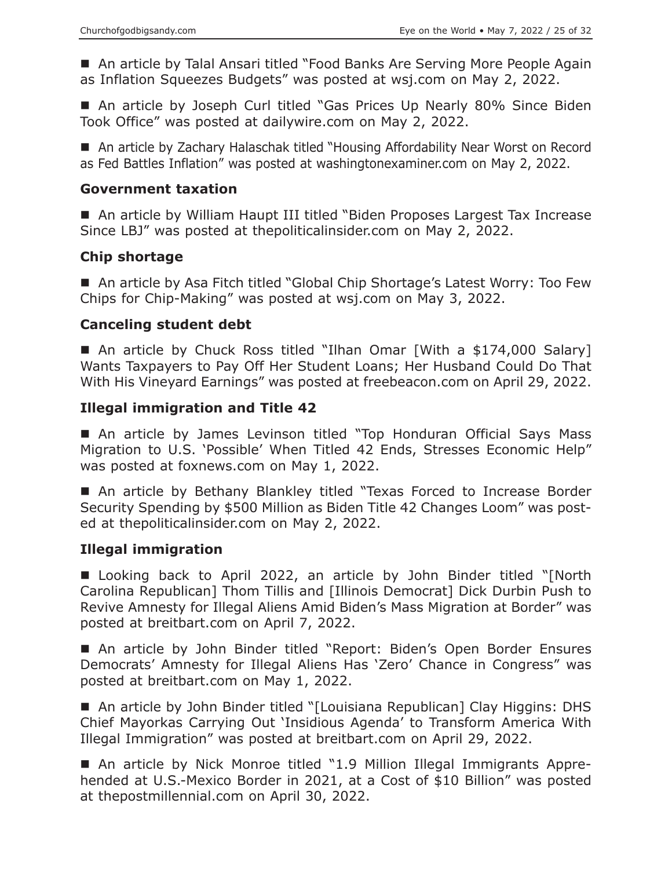■ An article by Talal Ansari titled "Food Banks Are Serving More People Again as Inflation Squeezes Budgets" was posted at wsj.com on May 2, 2022.

■ An article by Joseph Curl titled "Gas Prices Up Nearly 80% Since Biden Took Office" was posted at dailywire.com on May 2, 2022.

■ An article by Zachary Halaschak titled "Housing Affordability Near Worst on Record as Fed Battles Inflation" was posted at washingtonexaminer.com on May 2, 2022.

#### **Government taxation**

■ An article by William Haupt III titled "Biden Proposes Largest Tax Increase Since LBJ" was posted at thepoliticalinsider.com on May 2, 2022.

#### **Chip shortage**

■ An article by Asa Fitch titled "Global Chip Shortage's Latest Worry: Too Few Chips for Chip-Making" was posted at wsj.com on May 3, 2022.

#### **Canceling student debt**

■ An article by Chuck Ross titled "Ilhan Omar [With a \$174,000 Salary] Wants Taxpayers to Pay Off Her Student Loans; Her Husband Could Do That With His Vineyard Earnings" was posted at freebeacon.com on April 29, 2022.

#### **Illegal immigration and Title 42**

■ An article by James Levinson titled "Top Honduran Official Says Mass Migration to U.S. 'Possible' When Titled 42 Ends, Stresses Economic Help" was posted at foxnews.com on May 1, 2022.

■ An article by Bethany Blankley titled "Texas Forced to Increase Border Security Spending by \$500 Million as Biden Title 42 Changes Loom" was posted at thepoliticalinsider.com on May 2, 2022.

#### **Illegal immigration**

■ Looking back to April 2022, an article by John Binder titled "[North Carolina Republican] Thom Tillis and [Illinois Democrat] Dick Durbin Push to Revive Amnesty for Illegal Aliens Amid Biden's Mass Migration at Border" was posted at breitbart.com on April 7, 2022.

■ An article by John Binder titled "Report: Biden's Open Border Ensures Democrats' Amnesty for Illegal Aliens Has 'Zero' Chance in Congress" was posted at breitbart.com on May 1, 2022.

 An article by John Binder titled "[Louisiana Republican] Clay Higgins: DHS Chief Mayorkas Carrying Out 'Insidious Agenda' to Transform America With Illegal Immigration" was posted at breitbart.com on April 29, 2022.

 An article by Nick Monroe titled "1.9 Million Illegal Immigrants Apprehended at U.S.-Mexico Border in 2021, at a Cost of \$10 Billion" was posted at thepostmillennial.com on April 30, 2022.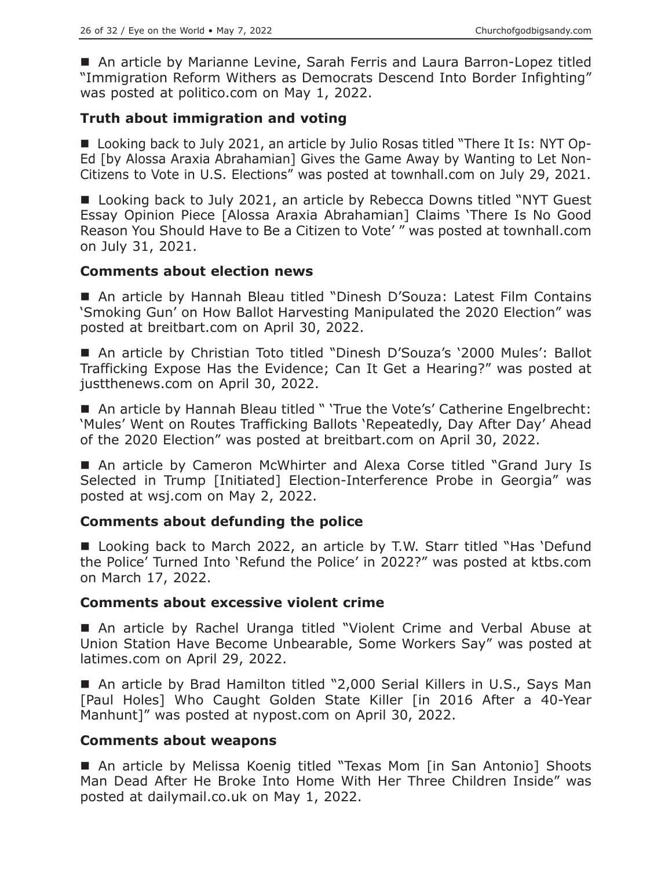■ An article by Marianne Levine, Sarah Ferris and Laura Barron-Lopez titled "Immigration Reform Withers as Democrats Descend Into Border Infighting" was posted at politico.com on May 1, 2022.

## **Truth about immigration and voting**

■ Looking back to July 2021, an article by Julio Rosas titled "There It Is: NYT Op-Ed [by Alossa Araxia Abrahamian] Gives the Game Away by Wanting to Let Non-Citizens to Vote in U.S. Elections" was posted at townhall.com on July 29, 2021.

■ Looking back to July 2021, an article by Rebecca Downs titled "NYT Guest Essay Opinion Piece [Alossa Araxia Abrahamian] Claims 'There Is No Good Reason You Should Have to Be a Citizen to Vote' " was posted at townhall.com on July 31, 2021.

#### **Comments about election news**

■ An article by Hannah Bleau titled "Dinesh D'Souza: Latest Film Contains 'Smoking Gun' on How Ballot Harvesting Manipulated the 2020 Election" was posted at breitbart.com on April 30, 2022.

■ An article by Christian Toto titled "Dinesh D'Souza's '2000 Mules': Ballot Trafficking Expose Has the Evidence; Can It Get a Hearing?" was posted at justthenews.com on April 30, 2022.

■ An article by Hannah Bleau titled " 'True the Vote's' Catherine Engelbrecht: 'Mules' Went on Routes Trafficking Ballots 'Repeatedly, Day After Day' Ahead of the 2020 Election" was posted at breitbart.com on April 30, 2022.

 An article by Cameron McWhirter and Alexa Corse titled "Grand Jury Is Selected in Trump [Initiated] Election-Interference Probe in Georgia" was posted at wsj.com on May 2, 2022.

#### **Comments about defunding the police**

■ Looking back to March 2022, an article by T.W. Starr titled "Has 'Defund the Police' Turned Into 'Refund the Police' in 2022?" was posted at ktbs.com on March 17, 2022.

#### **Comments about excessive violent crime**

■ An article by Rachel Uranga titled "Violent Crime and Verbal Abuse at Union Station Have Become Unbearable, Some Workers Say" was posted at latimes.com on April 29, 2022.

■ An article by Brad Hamilton titled "2,000 Serial Killers in U.S., Says Man [Paul Holes] Who Caught Golden State Killer [in 2016 After a 40-Year Manhunt]" was posted at nypost.com on April 30, 2022.

#### **Comments about weapons**

■ An article by Melissa Koenig titled "Texas Mom [in San Antonio] Shoots Man Dead After He Broke Into Home With Her Three Children Inside" was posted at dailymail.co.uk on May 1, 2022.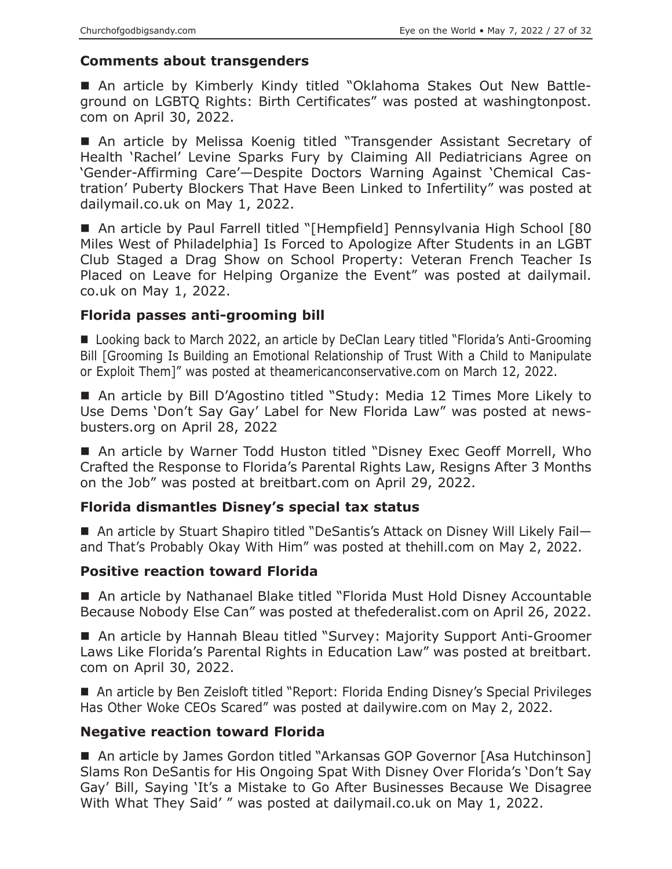## **Comments about transgenders**

 An article by Kimberly Kindy titled "Oklahoma Stakes Out New Battleground on LGBTQ Rights: Birth Certificates" was posted at washingtonpost. com on April 30, 2022.

 An article by Melissa Koenig titled "Transgender Assistant Secretary of Health 'Rachel' Levine Sparks Fury by Claiming All Pediatricians Agree on 'Gender-Affirming Care'—Despite Doctors Warning Against 'Chemical Castration' Puberty Blockers That Have Been Linked to Infertility" was posted at dailymail.co.uk on May 1, 2022.

■ An article by Paul Farrell titled "[Hempfield] Pennsylvania High School [80 Miles West of Philadelphia] Is Forced to Apologize After Students in an LGBT Club Staged a Drag Show on School Property: Veteran French Teacher Is Placed on Leave for Helping Organize the Event" was posted at dailymail. co.uk on May 1, 2022.

## **Florida passes anti-grooming bill**

■ Looking back to March 2022, an article by DeClan Leary titled "Florida's Anti-Grooming Bill [Grooming Is Building an Emotional Relationship of Trust With a Child to Manipulate or Exploit Them]" was posted at theamericanconservative.com on March 12, 2022.

■ An article by Bill D'Agostino titled "Study: Media 12 Times More Likely to Use Dems 'Don't Say Gay' Label for New Florida Law" was posted at newsbusters.org on April 28, 2022

 An article by Warner Todd Huston titled "Disney Exec Geoff Morrell, Who Crafted the Response to Florida's Parental Rights Law, Resigns After 3 Months on the Job" was posted at breitbart.com on April 29, 2022.

#### **Florida dismantles Disney's special tax status**

■ An article by Stuart Shapiro titled "DeSantis's Attack on Disney Will Likely Fail and That's Probably Okay With Him" was posted at thehill.com on May 2, 2022.

#### **Positive reaction toward Florida**

■ An article by Nathanael Blake titled "Florida Must Hold Disney Accountable Because Nobody Else Can" was posted at thefederalist.com on April 26, 2022.

■ An article by Hannah Bleau titled "Survey: Majority Support Anti-Groomer Laws Like Florida's Parental Rights in Education Law" was posted at breitbart. com on April 30, 2022.

■ An article by Ben Zeisloft titled "Report: Florida Ending Disney's Special Privileges Has Other Woke CEOs Scared" was posted at dailywire.com on May 2, 2022.

#### **Negative reaction toward Florida**

■ An article by James Gordon titled "Arkansas GOP Governor [Asa Hutchinson] Slams Ron DeSantis for His Ongoing Spat With Disney Over Florida's 'Don't Say Gay' Bill, Saying 'It's a Mistake to Go After Businesses Because We Disagree With What They Said' " was posted at dailymail.co.uk on May 1, 2022.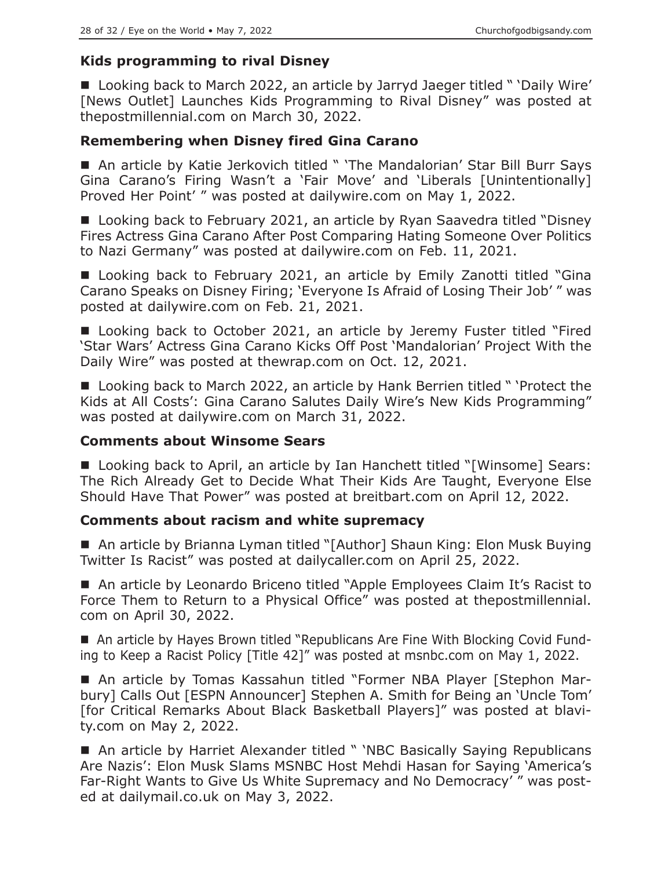## **Kids programming to rival Disney**

■ Looking back to March 2022, an article by Jarryd Jaeger titled " 'Daily Wire' [News Outlet] Launches Kids Programming to Rival Disney" was posted at thepostmillennial.com on March 30, 2022.

## **Remembering when Disney fired Gina Carano**

■ An article by Katie Jerkovich titled " 'The Mandalorian' Star Bill Burr Says Gina Carano's Firing Wasn't a 'Fair Move' and 'Liberals [Unintentionally] Proved Her Point' " was posted at dailywire.com on May 1, 2022.

■ Looking back to February 2021, an article by Ryan Saavedra titled "Disney Fires Actress Gina Carano After Post Comparing Hating Someone Over Politics to Nazi Germany" was posted at dailywire.com on Feb. 11, 2021.

■ Looking back to February 2021, an article by Emily Zanotti titled "Gina Carano Speaks on Disney Firing; 'Everyone Is Afraid of Losing Their Job' " was posted at dailywire.com on Feb. 21, 2021.

■ Looking back to October 2021, an article by Jeremy Fuster titled "Fired 'Star Wars' Actress Gina Carano Kicks Off Post 'Mandalorian' Project With the Daily Wire" was posted at thewrap.com on Oct. 12, 2021.

■ Looking back to March 2022, an article by Hank Berrien titled " 'Protect the Kids at All Costs': Gina Carano Salutes Daily Wire's New Kids Programming" was posted at dailywire.com on March 31, 2022.

#### **Comments about Winsome Sears**

■ Looking back to April, an article by Ian Hanchett titled "[Winsome] Sears: The Rich Already Get to Decide What Their Kids Are Taught, Everyone Else Should Have That Power" was posted at breitbart.com on April 12, 2022.

#### **Comments about racism and white supremacy**

■ An article by Brianna Lyman titled "[Author] Shaun King: Elon Musk Buying Twitter Is Racist" was posted at dailycaller.com on April 25, 2022.

■ An article by Leonardo Briceno titled "Apple Employees Claim It's Racist to Force Them to Return to a Physical Office" was posted at thepostmillennial. com on April 30, 2022.

■ An article by Hayes Brown titled "Republicans Are Fine With Blocking Covid Funding to Keep a Racist Policy [Title 42]" was posted at msnbc.com on May 1, 2022.

■ An article by Tomas Kassahun titled "Former NBA Player [Stephon Marbury] Calls Out [ESPN Announcer] Stephen A. Smith for Being an 'Uncle Tom' [for Critical Remarks About Black Basketball Players]" was posted at blavity.com on May 2, 2022.

■ An article by Harriet Alexander titled " 'NBC Basically Saying Republicans Are Nazis': Elon Musk Slams MSNBC Host Mehdi Hasan for Saying 'America's Far-Right Wants to Give Us White Supremacy and No Democracy' " was posted at dailymail.co.uk on May 3, 2022.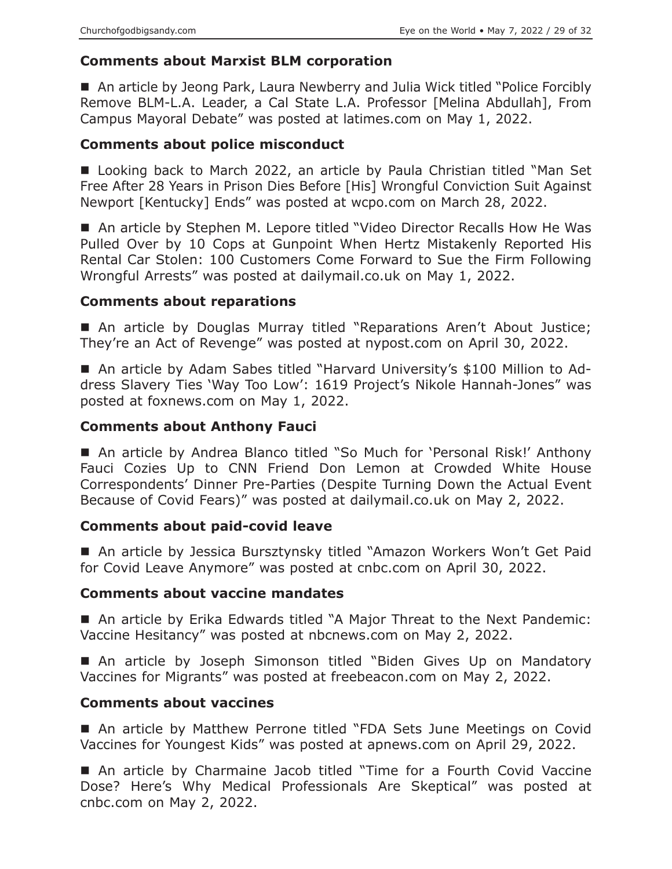## **Comments about Marxist BLM corporation**

■ An article by Jeong Park, Laura Newberry and Julia Wick titled "Police Forcibly Remove BLM-L.A. Leader, a Cal State L.A. Professor [Melina Abdullah], From Campus Mayoral Debate" was posted at latimes.com on May 1, 2022.

## **Comments about police misconduct**

■ Looking back to March 2022, an article by Paula Christian titled "Man Set Free After 28 Years in Prison Dies Before [His] Wrongful Conviction Suit Against Newport [Kentucky] Ends" was posted at wcpo.com on March 28, 2022.

■ An article by Stephen M. Lepore titled "Video Director Recalls How He Was Pulled Over by 10 Cops at Gunpoint When Hertz Mistakenly Reported His Rental Car Stolen: 100 Customers Come Forward to Sue the Firm Following Wrongful Arrests" was posted at dailymail.co.uk on May 1, 2022.

## **Comments about reparations**

■ An article by Douglas Murray titled "Reparations Aren't About Justice; They're an Act of Revenge" was posted at nypost.com on April 30, 2022.

■ An article by Adam Sabes titled "Harvard University's \$100 Million to Address Slavery Ties 'Way Too Low': 1619 Project's Nikole Hannah-Jones" was posted at foxnews.com on May 1, 2022.

## **Comments about Anthony Fauci**

■ An article by Andrea Blanco titled "So Much for 'Personal Risk!' Anthony Fauci Cozies Up to CNN Friend Don Lemon at Crowded White House Correspondents' Dinner Pre-Parties (Despite Turning Down the Actual Event Because of Covid Fears)" was posted at dailymail.co.uk on May 2, 2022.

#### **Comments about paid-covid leave**

■ An article by Jessica Bursztynsky titled "Amazon Workers Won't Get Paid for Covid Leave Anymore" was posted at cnbc.com on April 30, 2022.

## **Comments about vaccine mandates**

■ An article by Erika Edwards titled "A Major Threat to the Next Pandemic: Vaccine Hesitancy" was posted at nbcnews.com on May 2, 2022.

■ An article by Joseph Simonson titled "Biden Gives Up on Mandatory Vaccines for Migrants" was posted at freebeacon.com on May 2, 2022.

# **Comments about vaccines**

■ An article by Matthew Perrone titled "FDA Sets June Meetings on Covid Vaccines for Youngest Kids" was posted at apnews.com on April 29, 2022.

■ An article by Charmaine Jacob titled "Time for a Fourth Covid Vaccine Dose? Here's Why Medical Professionals Are Skeptical" was posted at cnbc.com on May 2, 2022.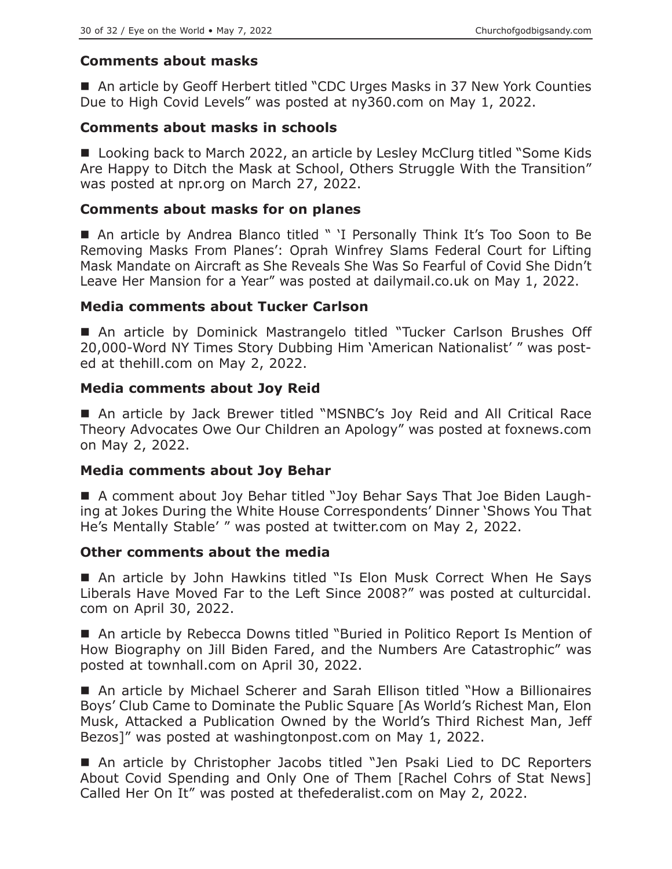#### **Comments about masks**

■ An article by Geoff Herbert titled "CDC Urges Masks in 37 New York Counties Due to High Covid Levels" was posted at ny360.com on May 1, 2022.

#### **Comments about masks in schools**

■ Looking back to March 2022, an article by Lesley McClurg titled "Some Kids Are Happy to Ditch the Mask at School, Others Struggle With the Transition" was posted at npr.org on March 27, 2022.

#### **Comments about masks for on planes**

 An article by Andrea Blanco titled " 'I Personally Think It's Too Soon to Be Removing Masks From Planes': Oprah Winfrey Slams Federal Court for Lifting Mask Mandate on Aircraft as She Reveals She Was So Fearful of Covid She Didn't Leave Her Mansion for a Year" was posted at dailymail.co.uk on May 1, 2022.

#### **Media comments about Tucker Carlson**

 An article by Dominick Mastrangelo titled "Tucker Carlson Brushes Off 20,000-Word NY Times Story Dubbing Him 'American Nationalist' " was posted at thehill.com on May 2, 2022.

#### **Media comments about Joy Reid**

■ An article by Jack Brewer titled "MSNBC's Joy Reid and All Critical Race Theory Advocates Owe Our Children an Apology" was posted at foxnews.com on May 2, 2022.

#### **Media comments about Joy Behar**

 A comment about Joy Behar titled "Joy Behar Says That Joe Biden Laughing at Jokes During the White House Correspondents' Dinner 'Shows You That He's Mentally Stable' " was posted at twitter.com on May 2, 2022.

#### **Other comments about the media**

 An article by John Hawkins titled "Is Elon Musk Correct When He Says Liberals Have Moved Far to the Left Since 2008?" was posted at culturcidal. com on April 30, 2022.

■ An article by Rebecca Downs titled "Buried in Politico Report Is Mention of How Biography on Jill Biden Fared, and the Numbers Are Catastrophic" was posted at townhall.com on April 30, 2022.

■ An article by Michael Scherer and Sarah Ellison titled "How a Billionaires Boys' Club Came to Dominate the Public Square [As World's Richest Man, Elon Musk, Attacked a Publication Owned by the World's Third Richest Man, Jeff Bezos]" was posted at washingtonpost.com on May 1, 2022.

■ An article by Christopher Jacobs titled "Jen Psaki Lied to DC Reporters About Covid Spending and Only One of Them [Rachel Cohrs of Stat News] Called Her On It" was posted at thefederalist.com on May 2, 2022.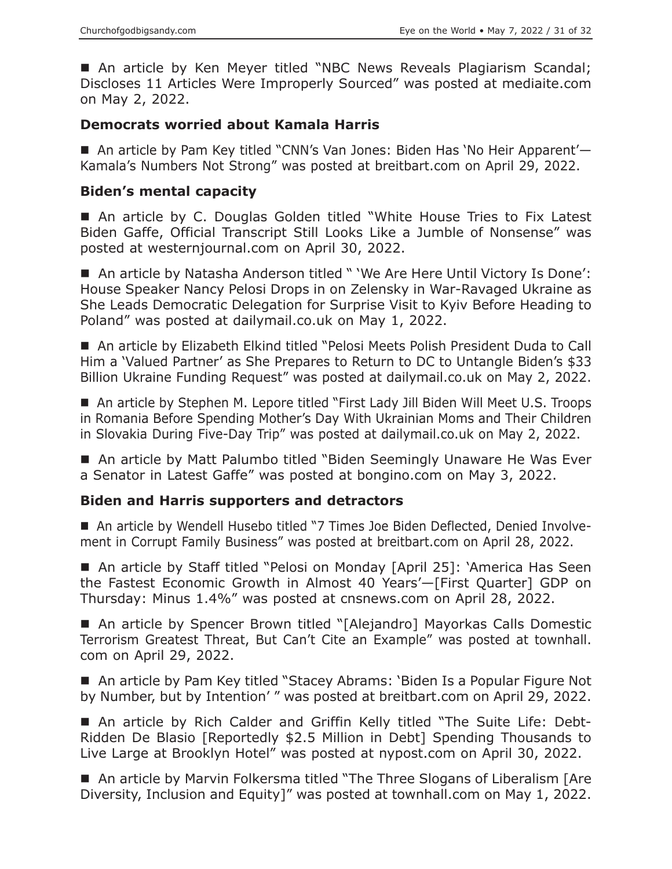■ An article by Ken Meyer titled "NBC News Reveals Plagiarism Scandal; Discloses 11 Articles Were Improperly Sourced" was posted at mediaite.com on May 2, 2022.

#### **Democrats worried about Kamala Harris**

■ An article by Pam Key titled "CNN's Van Jones: Biden Has 'No Heir Apparent'— Kamala's Numbers Not Strong" was posted at breitbart.com on April 29, 2022.

#### **Biden's mental capacity**

■ An article by C. Douglas Golden titled "White House Tries to Fix Latest Biden Gaffe, Official Transcript Still Looks Like a Jumble of Nonsense" was posted at westernjournal.com on April 30, 2022.

■ An article by Natasha Anderson titled " 'We Are Here Until Victory Is Done': House Speaker Nancy Pelosi Drops in on Zelensky in War-Ravaged Ukraine as She Leads Democratic Delegation for Surprise Visit to Kyiv Before Heading to Poland" was posted at dailymail.co.uk on May 1, 2022.

■ An article by Elizabeth Elkind titled "Pelosi Meets Polish President Duda to Call Him a 'Valued Partner' as She Prepares to Return to DC to Untangle Biden's \$33 Billion Ukraine Funding Request" was posted at dailymail.co.uk on May 2, 2022.

■ An article by Stephen M. Lepore titled "First Lady Jill Biden Will Meet U.S. Troops in Romania Before Spending Mother's Day With Ukrainian Moms and Their Children in Slovakia During Five-Day Trip" was posted at dailymail.co.uk on May 2, 2022.

■ An article by Matt Palumbo titled "Biden Seemingly Unaware He Was Ever a Senator in Latest Gaffe" was posted at bongino.com on May 3, 2022.

#### **Biden and Harris supporters and detractors**

 An article by Wendell Husebo titled "7 Times Joe Biden Deflected, Denied Involvement in Corrupt Family Business" was posted at breitbart.com on April 28, 2022.

■ An article by Staff titled "Pelosi on Monday [April 25]: 'America Has Seen the Fastest Economic Growth in Almost 40 Years'—[First Quarter] GDP on Thursday: Minus 1.4%" was posted at cnsnews.com on April 28, 2022.

■ An article by Spencer Brown titled "[Alejandro] Mayorkas Calls Domestic Terrorism Greatest Threat, But Can't Cite an Example" was posted at townhall. com on April 29, 2022.

■ An article by Pam Key titled "Stacey Abrams: 'Biden Is a Popular Figure Not by Number, but by Intention' " was posted at breitbart.com on April 29, 2022.

 An article by Rich Calder and Griffin Kelly titled "The Suite Life: Debt-Ridden De Blasio [Reportedly \$2.5 Million in Debt] Spending Thousands to Live Large at Brooklyn Hotel" was posted at nypost.com on April 30, 2022.

■ An article by Marvin Folkersma titled "The Three Slogans of Liberalism [Are Diversity, Inclusion and Equity]" was posted at townhall.com on May 1, 2022.